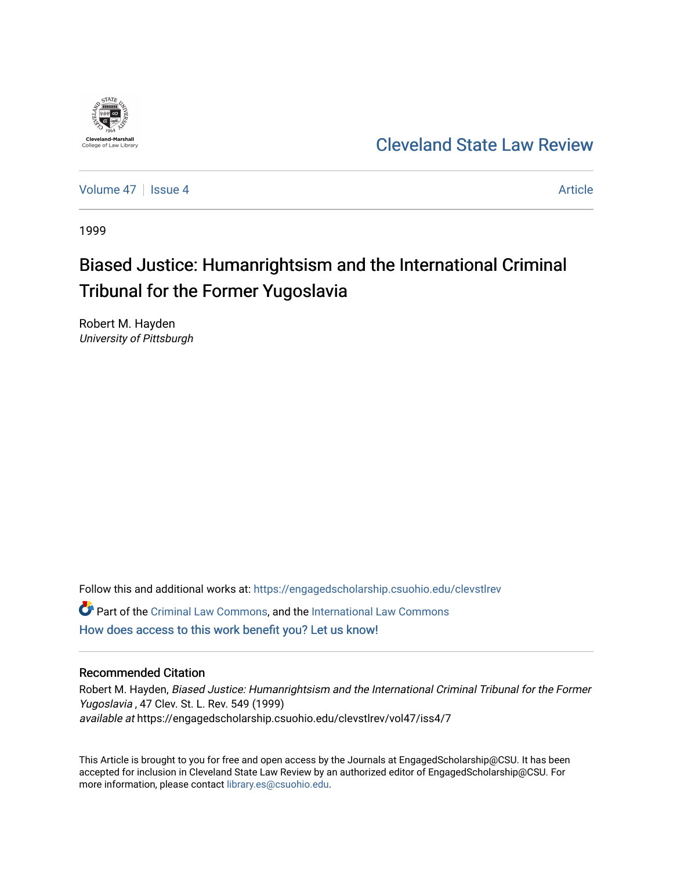

[Cleveland State Law Review](https://engagedscholarship.csuohio.edu/clevstlrev) 

[Volume 47](https://engagedscholarship.csuohio.edu/clevstlrev/vol47) Session 4 [Article](https://engagedscholarship.csuohio.edu/clevstlrev/vol47/iss4/7) 3 Article

1999

# Biased Justice: Humanrightsism and the International Criminal Tribunal for the Former Yugoslavia

Robert M. Hayden University of Pittsburgh

Follow this and additional works at: [https://engagedscholarship.csuohio.edu/clevstlrev](https://engagedscholarship.csuohio.edu/clevstlrev?utm_source=engagedscholarship.csuohio.edu%2Fclevstlrev%2Fvol47%2Fiss4%2F7&utm_medium=PDF&utm_campaign=PDFCoverPages)  $\bullet$  Part of the [Criminal Law Commons,](http://network.bepress.com/hgg/discipline/912?utm_source=engagedscholarship.csuohio.edu%2Fclevstlrev%2Fvol47%2Fiss4%2F7&utm_medium=PDF&utm_campaign=PDFCoverPages) and the International Law Commons [How does access to this work benefit you? Let us know!](http://library.csuohio.edu/engaged/)

## Recommended Citation

Robert M. Hayden, Biased Justice: Humanrightsism and the International Criminal Tribunal for the Former Yugoslavia , 47 Clev. St. L. Rev. 549 (1999) available at https://engagedscholarship.csuohio.edu/clevstlrev/vol47/iss4/7

This Article is brought to you for free and open access by the Journals at EngagedScholarship@CSU. It has been accepted for inclusion in Cleveland State Law Review by an authorized editor of EngagedScholarship@CSU. For more information, please contact [library.es@csuohio.edu](mailto:library.es@csuohio.edu).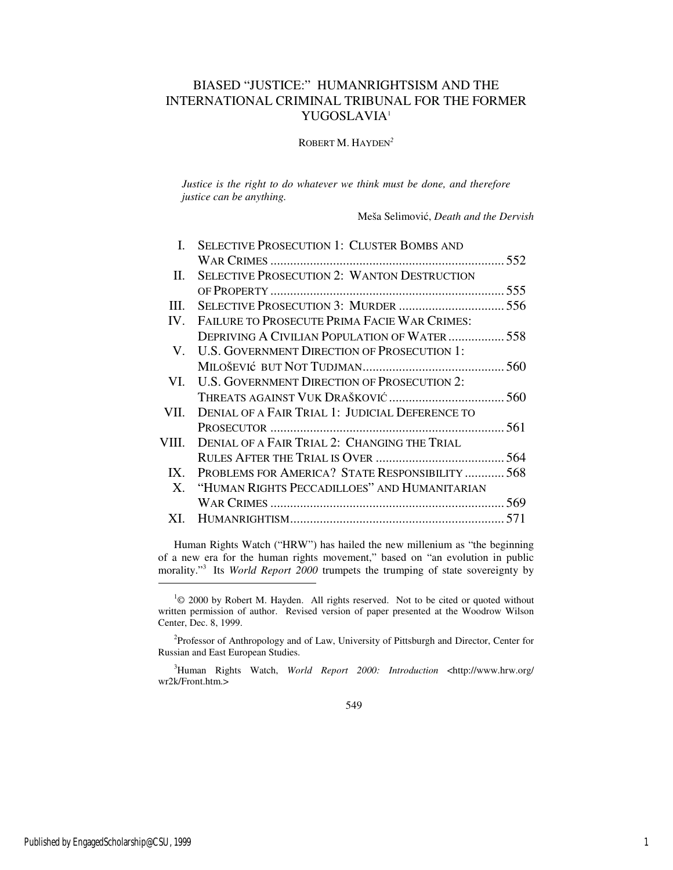# BIASED "JUSTICE:" HUMANRIGHTSISM AND THE INTERNATIONAL CRIMINAL TRIBUNAL FOR THE FORMER YUGOSLAVIA<sup>1</sup>

## ROBERT M. HAYDEN*<sup>2</sup>*

*Justice is the right to do whatever we think must be done, and therefore justice can be anything.*

Meša Selimoviƒ, *Death and the Dervish*

|          | <b>SELECTIVE PROSECUTION 1: CLUSTER BOMBS AND</b>  |  |
|----------|----------------------------------------------------|--|
|          |                                                    |  |
| $\Pi$ .  | <b>SELECTIVE PROSECUTION 2: WANTON DESTRUCTION</b> |  |
|          |                                                    |  |
| Ш.       |                                                    |  |
| $IV_{-}$ | FAILURE TO PROSECUTE PRIMA FACIE WAR CRIMES:       |  |
|          | DEPRIVING A CIVILIAN POPULATION OF WATER 558       |  |
| V.       | U.S. GOVERNMENT DIRECTION OF PROSECUTION 1:        |  |
|          |                                                    |  |
| VI.      | U.S. GOVERNMENT DIRECTION OF PROSECUTION 2:        |  |
|          |                                                    |  |
| VII.     | DENIAL OF A FAIR TRIAL 1: JUDICIAL DEFERENCE TO    |  |
|          |                                                    |  |
| VIII.    | DENIAL OF A FAIR TRIAL 2: CHANGING THE TRIAL       |  |
|          |                                                    |  |
| IX       | PROBLEMS FOR AMERICA? STATE RESPONSIBILITY  568    |  |
| X.       | "HUMAN RIGHTS PECCADILLOES" AND HUMANITARIAN       |  |
|          |                                                    |  |
| XI.      |                                                    |  |
|          |                                                    |  |

Human Rights Watch ("HRW") has hailed the new millenium as "the beginning of a new era for the human rights movement," based on "an evolution in public morality."<sup>3</sup> Its *World Report 2000* trumpets the trumping of state sovereignty by

<sup>2</sup>Professor of Anthropology and of Law, University of Pittsburgh and Director, Center for Russian and East European Studies.

<sup>3</sup>Human Rights Watch, *World Report 2000: Introduction* <http://www.hrw.org/ wr2k/Front.htm.>

 $1\textdegree$  2000 by Robert M. Hayden. All rights reserved. Not to be cited or quoted without written permission of author. Revised version of paper presented at the Woodrow Wilson Center, Dec. 8, 1999.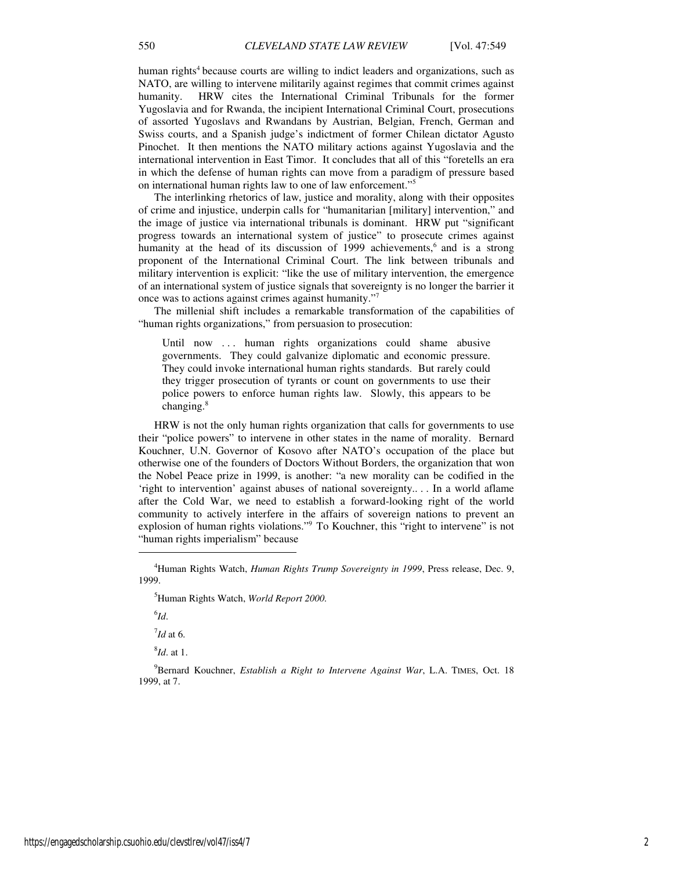human rights<sup>4</sup> because courts are willing to indict leaders and organizations, such as NATO, are willing to intervene militarily against regimes that commit crimes against humanity. HRW cites the International Criminal Tribunals for the former Yugoslavia and for Rwanda, the incipient International Criminal Court, prosecutions of assorted Yugoslavs and Rwandans by Austrian, Belgian, French, German and Swiss courts, and a Spanish judge's indictment of former Chilean dictator Agusto Pinochet. It then mentions the NATO military actions against Yugoslavia and the international intervention in East Timor. It concludes that all of this "foretells an era in which the defense of human rights can move from a paradigm of pressure based on international human rights law to one of law enforcement."<sup>5</sup>

The interlinking rhetorics of law, justice and morality, along with their opposites of crime and injustice, underpin calls for "humanitarian [military] intervention," and the image of justice via international tribunals is dominant. HRW put "significant progress towards an international system of justice" to prosecute crimes against humanity at the head of its discussion of 1999 achievements, $6$  and is a strong proponent of the International Criminal Court. The link between tribunals and military intervention is explicit: "like the use of military intervention, the emergence of an international system of justice signals that sovereignty is no longer the barrier it once was to actions against crimes against humanity."<sup>7</sup>

The millenial shift includes a remarkable transformation of the capabilities of "human rights organizations," from persuasion to prosecution:

Until now ... human rights organizations could shame abusive governments. They could galvanize diplomatic and economic pressure. They could invoke international human rights standards. But rarely could they trigger prosecution of tyrants or count on governments to use their police powers to enforce human rights law. Slowly, this appears to be changing.<sup>8</sup>

HRW is not the only human rights organization that calls for governments to use their "police powers" to intervene in other states in the name of morality. Bernard Kouchner, U.N. Governor of Kosovo after NATO's occupation of the place but otherwise one of the founders of Doctors Without Borders, the organization that won the Nobel Peace prize in 1999, is another: "a new morality can be codified in the 'right to intervention' against abuses of national sovereignty.. . . In a world aflame after the Cold War, we need to establish a forward-looking right of the world community to actively interfere in the affairs of sovereign nations to prevent an explosion of human rights violations."<sup>9</sup> To Kouchner, this "right to intervene" is not "human rights imperialism" because

<sup>5</sup>Human Rights Watch, *World Report 2000.*

6 *Id*.

1

7 *Id* at 6.

8 *Id*. at 1.

<sup>9</sup>Bernard Kouchner, *Establish a Right to Intervene Against War*, L.A. TIMES, Oct. 18 1999, at 7.

<sup>4</sup>Human Rights Watch, *Human Rights Trump Sovereignty in 1999*, Press release, Dec. 9, 1999.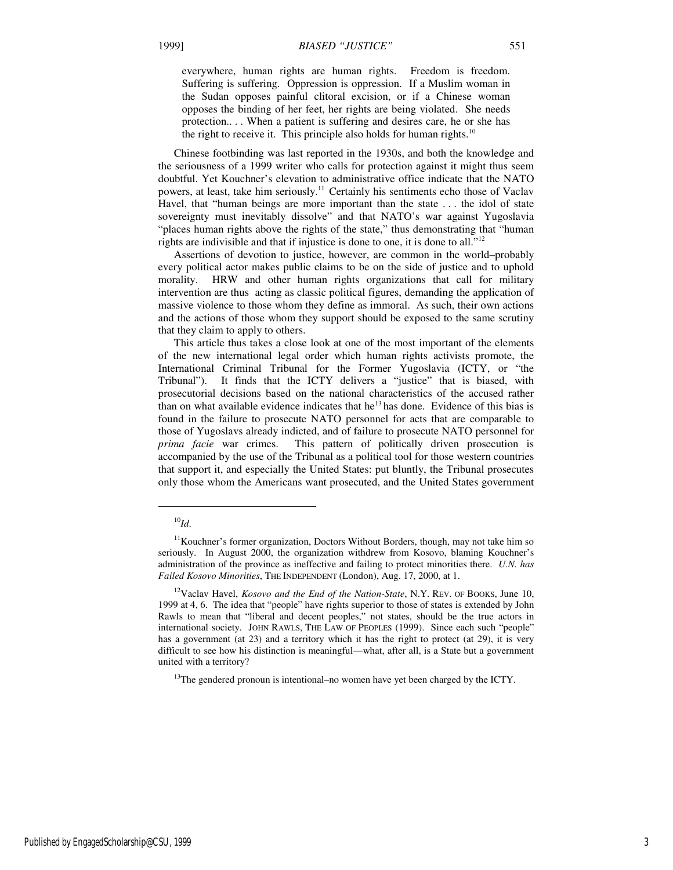everywhere, human rights are human rights. Freedom is freedom. Suffering is suffering. Oppression is oppression. If a Muslim woman in the Sudan opposes painful clitoral excision, or if a Chinese woman opposes the binding of her feet, her rights are being violated. She needs protection.. . . When a patient is suffering and desires care, he or she has the right to receive it. This principle also holds for human rights.<sup>10</sup>

Chinese footbinding was last reported in the 1930s, and both the knowledge and the seriousness of a 1999 writer who calls for protection against it might thus seem doubtful. Yet Kouchner's elevation to administrative office indicate that the NATO powers, at least, take him seriously.<sup>11</sup> Certainly his sentiments echo those of Vaclav Havel, that "human beings are more important than the state . . . the idol of state sovereignty must inevitably dissolve" and that NATO's war against Yugoslavia "places human rights above the rights of the state," thus demonstrating that "human rights are indivisible and that if injustice is done to one, it is done to all."<sup>12</sup>

Assertions of devotion to justice, however, are common in the world–probably every political actor makes public claims to be on the side of justice and to uphold morality. HRW and other human rights organizations that call for military intervention are thus acting as classic political figures, demanding the application of massive violence to those whom they define as immoral. As such, their own actions and the actions of those whom they support should be exposed to the same scrutiny that they claim to apply to others.

This article thus takes a close look at one of the most important of the elements of the new international legal order which human rights activists promote, the International Criminal Tribunal for the Former Yugoslavia (ICTY, or "the Tribunal"). It finds that the ICTY delivers a "justice" that is biased, with prosecutorial decisions based on the national characteristics of the accused rather than on what available evidence indicates that  $he^{13}$  has done. Evidence of this bias is found in the failure to prosecute NATO personnel for acts that are comparable to those of Yugoslavs already indicted, and of failure to prosecute NATO personnel for *prima facie* war crimes. This pattern of politically driven prosecution is accompanied by the use of the Tribunal as a political tool for those western countries that support it, and especially the United States: put bluntly, the Tribunal prosecutes only those whom the Americans want prosecuted, and the United States government

1

 $^{10}$ *Id.* 

 $11$ Kouchner's former organization, Doctors Without Borders, though, may not take him so seriously. In August 2000, the organization withdrew from Kosovo, blaming Kouchner's administration of the province as ineffective and failing to protect minorities there. *U.N. has Failed Kosovo Minorities*, THE INDEPENDENT (London), Aug. 17, 2000, at 1.

<sup>&</sup>lt;sup>12</sup>Vaclav Havel, *Kosovo and the End of the Nation-State*, N.Y. REV. OF BOOKS, June 10, 1999 at 4, 6. The idea that "people" have rights superior to those of states is extended by John Rawls to mean that "liberal and decent peoples," not states, should be the true actors in international society. JOHN RAWLS, THE LAW OF PEOPLES (1999). Since each such "people" has a government (at 23) and a territory which it has the right to protect (at 29), it is very difficult to see how his distinction is meaningful―what, after all, is a State but a government united with a territory?

<sup>&</sup>lt;sup>13</sup>The gendered pronoun is intentional–no women have yet been charged by the ICTY.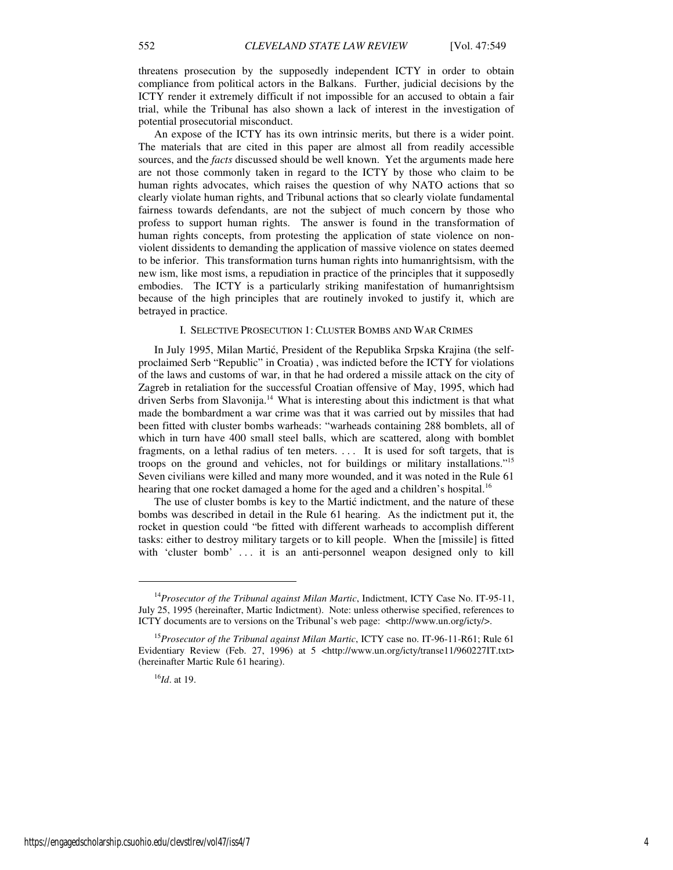threatens prosecution by the supposedly independent ICTY in order to obtain compliance from political actors in the Balkans. Further, judicial decisions by the ICTY render it extremely difficult if not impossible for an accused to obtain a fair trial, while the Tribunal has also shown a lack of interest in the investigation of potential prosecutorial misconduct.

An expose of the ICTY has its own intrinsic merits, but there is a wider point. The materials that are cited in this paper are almost all from readily accessible sources, and the *facts* discussed should be well known. Yet the arguments made here are not those commonly taken in regard to the ICTY by those who claim to be human rights advocates, which raises the question of why NATO actions that so clearly violate human rights, and Tribunal actions that so clearly violate fundamental fairness towards defendants, are not the subject of much concern by those who profess to support human rights. The answer is found in the transformation of human rights concepts, from protesting the application of state violence on nonviolent dissidents to demanding the application of massive violence on states deemed to be inferior. This transformation turns human rights into humanrightsism, with the new ism, like most isms, a repudiation in practice of the principles that it supposedly embodies. The ICTY is a particularly striking manifestation of humanrightsism because of the high principles that are routinely invoked to justify it, which are betrayed in practice.

#### I. SELECTIVE PROSECUTION 1: CLUSTER BOMBS AND WAR CRIMES

In July 1995, Milan Martić, President of the Republika Srpska Krajina (the selfproclaimed Serb "Republic" in Croatia) , was indicted before the ICTY for violations of the laws and customs of war, in that he had ordered a missile attack on the city of Zagreb in retaliation for the successful Croatian offensive of May, 1995, which had driven Serbs from Slavonija.<sup>14</sup> What is interesting about this indictment is that what made the bombardment a war crime was that it was carried out by missiles that had been fitted with cluster bombs warheads: "warheads containing 288 bomblets, all of which in turn have 400 small steel balls, which are scattered, along with bomblet fragments, on a lethal radius of ten meters. . . . It is used for soft targets, that is troops on the ground and vehicles, not for buildings or military installations."<sup>15</sup> Seven civilians were killed and many more wounded, and it was noted in the Rule 61 hearing that one rocket damaged a home for the aged and a children's hospital.<sup>16</sup>

The use of cluster bombs is key to the Martić indictment, and the nature of these bombs was described in detail in the Rule 61 hearing. As the indictment put it, the rocket in question could "be fitted with different warheads to accomplish different tasks: either to destroy military targets or to kill people. When the [missile] is fitted with 'cluster bomb' ... it is an anti-personnel weapon designed only to kill

<sup>14</sup>*Prosecutor of the Tribunal against Milan Martic*, Indictment, ICTY Case No. IT-95-11, July 25, 1995 (hereinafter, Martic Indictment). Note: unless otherwise specified, references to ICTY documents are to versions on the Tribunal's web page: <http://www.un.org/icty/>.

<sup>15</sup>*Prosecutor of the Tribunal against Milan Martic*, ICTY case no. IT-96-11-R61; Rule 61 Evidentiary Review (Feb. 27, 1996) at 5 <http://www.un.org/icty/transe11/960227IT.txt> (hereinafter Martic Rule 61 hearing).

<sup>16</sup>*Id*. at 19.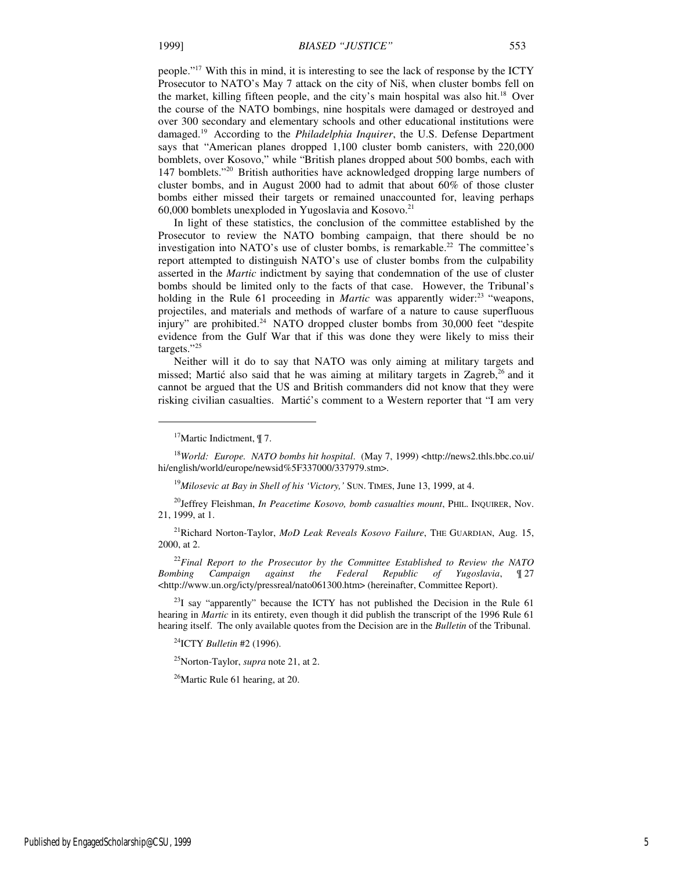people."<sup>17</sup> With this in mind, it is interesting to see the lack of response by the ICTY Prosecutor to NATO's May 7 attack on the city of Niš, when cluster bombs fell on the market, killing fifteen people, and the city's main hospital was also hit.<sup>18</sup> Over the course of the NATO bombings, nine hospitals were damaged or destroyed and over 300 secondary and elementary schools and other educational institutions were damaged.<sup>19</sup> According to the *Philadelphia Inquirer*, the U.S. Defense Department says that "American planes dropped 1,100 cluster bomb canisters, with 220,000 bomblets, over Kosovo," while "British planes dropped about 500 bombs, each with 147 bomblets."<sup>20</sup> British authorities have acknowledged dropping large numbers of cluster bombs, and in August 2000 had to admit that about 60% of those cluster bombs either missed their targets or remained unaccounted for, leaving perhaps  $60,000$  bomblets unexploded in Yugoslavia and Kosovo.<sup>21</sup>

In light of these statistics, the conclusion of the committee established by the Prosecutor to review the NATO bombing campaign, that there should be no investigation into NATO's use of cluster bombs, is remarkable.<sup>22</sup> The committee's report attempted to distinguish NATO's use of cluster bombs from the culpability asserted in the *Martic* indictment by saying that condemnation of the use of cluster bombs should be limited only to the facts of that case. However, the Tribunal's holding in the Rule 61 proceeding in *Martic* was apparently wider:<sup>23</sup> "weapons, projectiles, and materials and methods of warfare of a nature to cause superfluous injury" are prohibited. $24$  NATO dropped cluster bombs from 30,000 feet "despite evidence from the Gulf War that if this was done they were likely to miss their targets."<sup>25</sup>

Neither will it do to say that NATO was only aiming at military targets and missed; Martić also said that he was aiming at military targets in Zagreb, $^{26}$  and it cannot be argued that the US and British commanders did not know that they were risking civilian casualties. Martić's comment to a Western reporter that "I am very

l

<sup>19</sup>Milosevic at Bay in Shell of his 'Victory,' SUN. TIMES, June 13, 1999, at 4.

<sup>20</sup>Jeffrey Fleishman, *In Peacetime Kosovo, bomb casualties mount*, PHIL. INQUIRER, Nov. 21, 1999, at 1.

<sup>21</sup>Richard Norton-Taylor, *MoD Leak Reveals Kosovo Failure*, THE GUARDIAN, Aug. 15, 2000, at 2.

<sup>22</sup>*Final Report to the Prosecutor by the Committee Established to Review the NATO Bombing Campaign against the Federal Republic of Yugoslavia*, ¶ 27 <http://www.un.org/icty/pressreal/nato061300.htm> (hereinafter, Committee Report).

 $^{23}I$  say "apparently" because the ICTY has not published the Decision in the Rule 61 hearing in *Martic* in its entirety, even though it did publish the transcript of the 1996 Rule 61 hearing itself. The only available quotes from the Decision are in the *Bulletin* of the Tribunal.

<sup>24</sup>ICTY *Bulletin* #2 (1996).

<sup>25</sup>Norton-Taylor, *supra* note 21, at 2.

 $26$ Martic Rule 61 hearing, at 20.

 $17$ Martic Indictment, ¶ 7.

<sup>18</sup>*World: Europe. NATO bombs hit hospital*. (May 7, 1999) <http://news2.thls.bbc.co.ui/ hi/english/world/europe/newsid%5F337000/337979.stm>.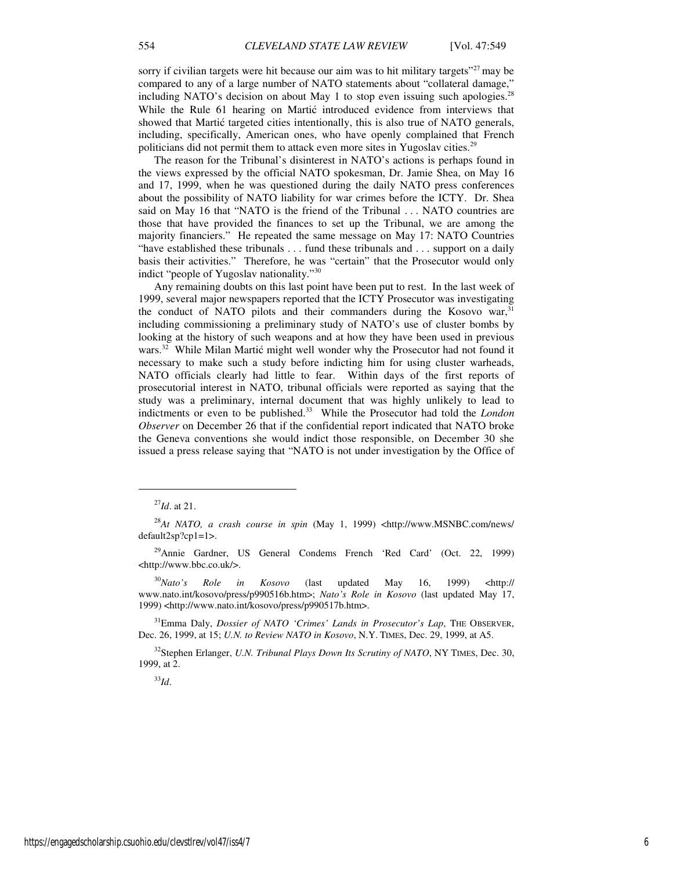sorry if civilian targets were hit because our aim was to hit military targets"<sup>27</sup> may be compared to any of a large number of NATO statements about "collateral damage," including NATO's decision on about May 1 to stop even issuing such apologies.<sup>28</sup> While the Rule 61 hearing on Martic introduced evidence from interviews that showed that Martić targeted cities intentionally, this is also true of NATO generals, including, specifically, American ones, who have openly complained that French politicians did not permit them to attack even more sites in Yugoslav cities.<sup>29</sup>

The reason for the Tribunal's disinterest in NATO's actions is perhaps found in the views expressed by the official NATO spokesman, Dr. Jamie Shea, on May 16 and 17, 1999, when he was questioned during the daily NATO press conferences about the possibility of NATO liability for war crimes before the ICTY. Dr. Shea said on May 16 that "NATO is the friend of the Tribunal . . . NATO countries are those that have provided the finances to set up the Tribunal, we are among the majority financiers." He repeated the same message on May 17: NATO Countries "have established these tribunals . . . fund these tribunals and . . . support on a daily basis their activities." Therefore, he was "certain" that the Prosecutor would only indict "people of Yugoslav nationality."<sup>30</sup>

Any remaining doubts on this last point have been put to rest. In the last week of 1999, several major newspapers reported that the ICTY Prosecutor was investigating the conduct of NATO pilots and their commanders during the Kosovo war, $31$ including commissioning a preliminary study of NATO's use of cluster bombs by looking at the history of such weapons and at how they have been used in previous wars.<sup>32</sup> While Milan Martić might well wonder why the Prosecutor had not found it necessary to make such a study before indicting him for using cluster warheads, NATO officials clearly had little to fear. Within days of the first reports of prosecutorial interest in NATO, tribunal officials were reported as saying that the study was a preliminary, internal document that was highly unlikely to lead to indictments or even to be published.<sup>33</sup> While the Prosecutor had told the *London Observer* on December 26 that if the confidential report indicated that NATO broke the Geneva conventions she would indict those responsible, on December 30 she issued a press release saying that "NATO is not under investigation by the Office of

1

<sup>31</sup>Emma Daly, *Dossier of NATO 'Crimes' Lands in Prosecutor's Lap*, THE OBSERVER, Dec. 26, 1999, at 15; *U.N. to Review NATO in Kosovo*, N.Y. TIMES, Dec. 29, 1999, at A5.

<sup>32</sup>Stephen Erlanger, *U.N. Tribunal Plays Down Its Scrutiny of NATO*, NY TIMES, Dec. 30, 1999, at 2.

<sup>33</sup>*Id*.

 $^{27}Id$  at 21.

<sup>&</sup>lt;sup>28</sup>At NATO, a crash course in spin (May 1, 1999) <http://www.MSNBC.com/news/ default2sp?cp1=1>.

 $^{29}$ Annie Gardner, US General Condems French 'Red Card' (Oct. 22, 1999) <http://www.bbc.co.uk/>.

<sup>30</sup>*Nato's Role in Kosovo* (last updated May 16, 1999) <http:// www.nato.int/kosovo/press/p990516b.htm>; *Nato's Role in Kosovo* (last updated May 17, 1999) <http://www.nato.int/kosovo/press/p990517b.htm>.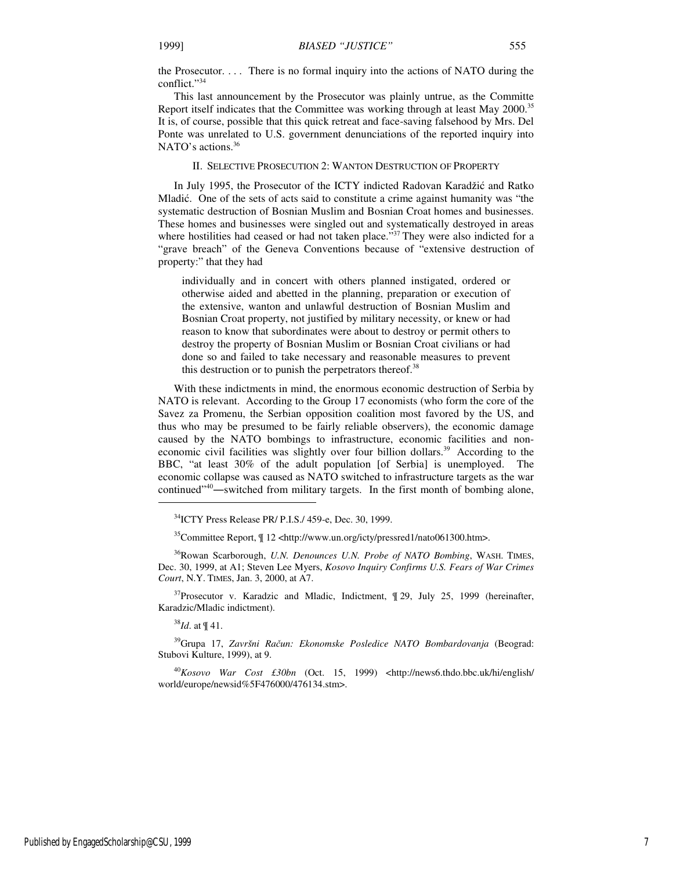the Prosecutor. . . . There is no formal inquiry into the actions of NATO during the conflict."<sup>34</sup>

This last announcement by the Prosecutor was plainly untrue, as the Committe Report itself indicates that the Committee was working through at least May 2000.<sup>35</sup> It is, of course, possible that this quick retreat and face-saving falsehood by Mrs. Del Ponte was unrelated to U.S. government denunciations of the reported inquiry into NATO's actions.<sup>36</sup>

## II. SELECTIVE PROSECUTION 2: WANTON DESTRUCTION OF PROPERTY

In July 1995, the Prosecutor of the ICTY indicted Radovan Karadžić and Ratko Mladić. One of the sets of acts said to constitute a crime against humanity was "the systematic destruction of Bosnian Muslim and Bosnian Croat homes and businesses. These homes and businesses were singled out and systematically destroyed in areas where hostilities had ceased or had not taken place." $37$  They were also indicted for a "grave breach" of the Geneva Conventions because of "extensive destruction of property:" that they had

individually and in concert with others planned instigated, ordered or otherwise aided and abetted in the planning, preparation or execution of the extensive, wanton and unlawful destruction of Bosnian Muslim and Bosnian Croat property, not justified by military necessity, or knew or had reason to know that subordinates were about to destroy or permit others to destroy the property of Bosnian Muslim or Bosnian Croat civilians or had done so and failed to take necessary and reasonable measures to prevent this destruction or to punish the perpetrators thereof.<sup>38</sup>

With these indictments in mind, the enormous economic destruction of Serbia by NATO is relevant. According to the Group 17 economists (who form the core of the Savez za Promenu, the Serbian opposition coalition most favored by the US, and thus who may be presumed to be fairly reliable observers), the economic damage caused by the NATO bombings to infrastructure, economic facilities and noneconomic civil facilities was slightly over four billion dollars.<sup>39</sup> According to the BBC, "at least 30% of the adult population [of Serbia] is unemployed. The economic collapse was caused as NATO switched to infrastructure targets as the war continued"<sup>40</sup>―switched from military targets. In the first month of bombing alone,

<sup>37</sup>Prosecutor v. Karadzic and Mladic, Indictment, ¶ 29, July 25, 1999 (hereinafter, Karadzic/Mladic indictment).

<sup>38</sup>*Id*. at ¶ 41.

 $\overline{a}$ 

<sup>39</sup>Grupa 17, *Završni Ra*č*un: Ekonomske Posledice NATO Bombardovanja* (Beograd: Stubovi Kulture, 1999), at 9.

<sup>40</sup>*Kosovo War Cost £30bn* (Oct. 15, 1999) <http://news6.thdo.bbc.uk/hi/english/ world/europe/newsid%5F476000/476134.stm>.

<sup>34</sup>ICTY Press Release PR/ P.I.S./ 459-e, Dec. 30, 1999.

<sup>35</sup>Committee Report, ¶ 12 <http://www.un.org/icty/pressred1/nato061300.htm>.

<sup>36</sup>Rowan Scarborough, *U.N. Denounces U.N. Probe of NATO Bombing*, WASH. TIMES, Dec. 30, 1999, at A1; Steven Lee Myers, *Kosovo Inquiry Confirms U.S. Fears of War Crimes Court*, N.Y. TIMES, Jan. 3, 2000, at A7.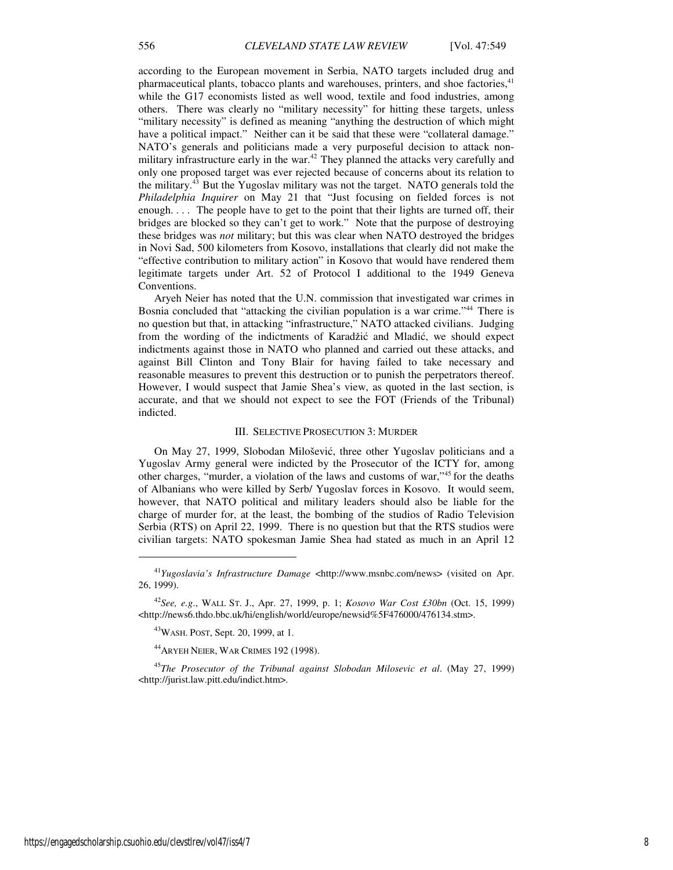according to the European movement in Serbia, NATO targets included drug and pharmaceutical plants, tobacco plants and warehouses, printers, and shoe factories,<sup>41</sup> while the G17 economists listed as well wood, textile and food industries, among others. There was clearly no "military necessity" for hitting these targets, unless "military necessity" is defined as meaning "anything the destruction of which might have a political impact." Neither can it be said that these were "collateral damage." NATO's generals and politicians made a very purposeful decision to attack nonmilitary infrastructure early in the war.<sup>42</sup> They planned the attacks very carefully and only one proposed target was ever rejected because of concerns about its relation to the military.<sup>43</sup> But the Yugoslav military was not the target. NATO generals told the *Philadelphia Inquirer* on May 21 that "Just focusing on fielded forces is not enough. . . . The people have to get to the point that their lights are turned off, their bridges are blocked so they can't get to work." Note that the purpose of destroying these bridges was *not* military; but this was clear when NATO destroyed the bridges in Novi Sad, 500 kilometers from Kosovo, installations that clearly did not make the "effective contribution to military action" in Kosovo that would have rendered them legitimate targets under Art. 52 of Protocol I additional to the 1949 Geneva Conventions.

Aryeh Neier has noted that the U.N. commission that investigated war crimes in Bosnia concluded that "attacking the civilian population is a war crime."<sup>44</sup> There is no question but that, in attacking "infrastructure," NATO attacked civilians. Judging from the wording of the indictments of Karadžić and Mladić, we should expect indictments against those in NATO who planned and carried out these attacks, and against Bill Clinton and Tony Blair for having failed to take necessary and reasonable measures to prevent this destruction or to punish the perpetrators thereof. However, I would suspect that Jamie Shea's view, as quoted in the last section, is accurate, and that we should not expect to see the FOT (Friends of the Tribunal) indicted.

#### III. SELECTIVE PROSECUTION 3: MURDER

On May 27, 1999, Slobodan Milošević, three other Yugoslav politicians and a Yugoslav Army general were indicted by the Prosecutor of the ICTY for, among other charges, "murder, a violation of the laws and customs of war,"<sup>45</sup> for the deaths of Albanians who were killed by Serb/ Yugoslav forces in Kosovo. It would seem, however, that NATO political and military leaders should also be liable for the charge of murder for, at the least, the bombing of the studios of Radio Television Serbia (RTS) on April 22, 1999. There is no question but that the RTS studios were civilian targets: NATO spokesman Jamie Shea had stated as much in an April 12

<sup>43</sup>WASH. POST, Sept. 20, 1999, at 1.

<sup>44</sup>ARYEH NEIER, WAR CRIMES 192 (1998).

<sup>45</sup>*The Prosecutor of the Tribunal against Slobodan Milosevic et al*. (May 27, 1999) <http://jurist.law.pitt.edu/indict.htm>.

<sup>41</sup>*Yugoslavia's Infrastructure Damage* <http://www.msnbc.com/news> (visited on Apr. 26, 1999).

<sup>42</sup>*See, e.g*., WALL ST. J., Apr. 27, 1999, p. 1; *Kosovo War Cost £30bn* (Oct. 15, 1999) <http://news6.thdo.bbc.uk/hi/english/world/europe/newsid%5F476000/476134.stm>.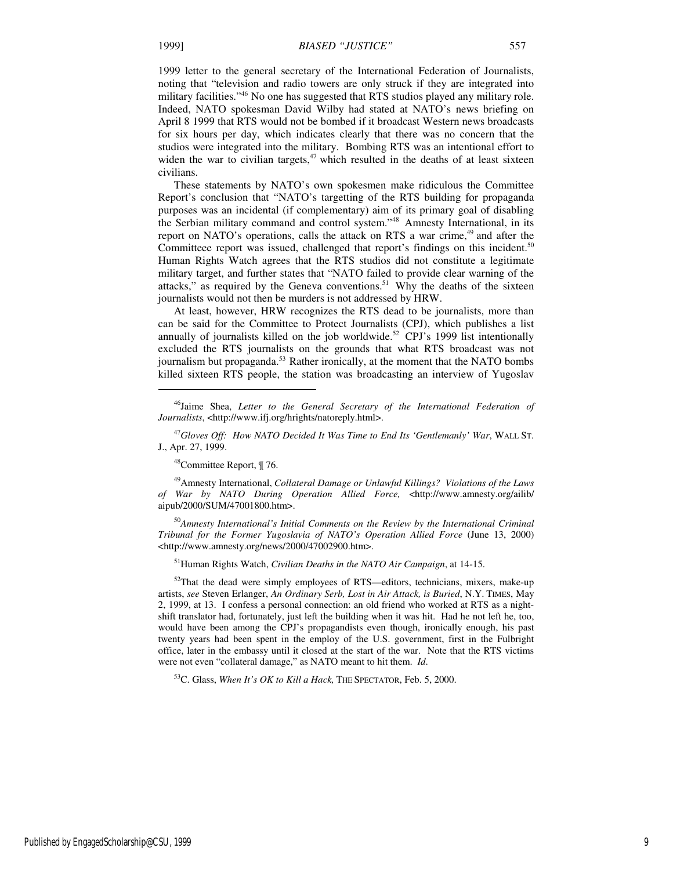1999 letter to the general secretary of the International Federation of Journalists, noting that "television and radio towers are only struck if they are integrated into military facilities."<sup>46</sup> No one has suggested that RTS studios played any military role. Indeed, NATO spokesman David Wilby had stated at NATO's news briefing on April 8 1999 that RTS would not be bombed if it broadcast Western news broadcasts for six hours per day, which indicates clearly that there was no concern that the studios were integrated into the military. Bombing RTS was an intentional effort to widen the war to civilian targets, $47$  which resulted in the deaths of at least sixteen civilians.

These statements by NATO's own spokesmen make ridiculous the Committee Report's conclusion that "NATO's targetting of the RTS building for propaganda purposes was an incidental (if complementary) aim of its primary goal of disabling the Serbian military command and control system."<sup>48</sup> Amnesty International, in its report on NATO's operations, calls the attack on RTS a war crime,<sup>49</sup> and after the Committeee report was issued, challenged that report's findings on this incident.<sup>50</sup> Human Rights Watch agrees that the RTS studios did not constitute a legitimate military target, and further states that "NATO failed to provide clear warning of the attacks," as required by the Geneva conventions.<sup>51</sup> Why the deaths of the sixteen journalists would not then be murders is not addressed by HRW.

At least, however, HRW recognizes the RTS dead to be journalists, more than can be said for the Committee to Protect Journalists (CPJ), which publishes a list annually of journalists killed on the job worldwide.<sup>52</sup> CPJ's 1999 list intentionally excluded the RTS journalists on the grounds that what RTS broadcast was not journalism but propaganda.<sup>53</sup> Rather ironically, at the moment that the NATO bombs killed sixteen RTS people, the station was broadcasting an interview of Yugoslav

<sup>47</sup>*Gloves Off: How NATO Decided It Was Time to End Its 'Gentlemanly' War*, WALL ST. J., Apr. 27, 1999.

<sup>48</sup>Committee Report, ¶ 76.

 $\overline{a}$ 

<sup>49</sup>Amnesty International, *Collateral Damage or Unlawful Killings? Violations of the Laws of War by NATO During Operation Allied Force,* <http://www.amnesty.org/ailib/ aipub/2000/SUM/47001800.htm>.

<sup>50</sup>*Amnesty International's Initial Comments on the Review by the International Criminal Tribunal for the Former Yugoslavia of NATO's Operation Allied Force* (June 13, 2000) <http://www.amnesty.org/news/2000/47002900.htm>.

<sup>51</sup>Human Rights Watch, *Civilian Deaths in the NATO Air Campaign*, at 14-15.

<sup>52</sup>That the dead were simply employees of RTS—editors, technicians, mixers, make-up artists, *see* Steven Erlanger, *An Ordinary Serb, Lost in Air Attack, is Buried*, N.Y. TIMES, May 2, 1999, at 13. I confess a personal connection: an old friend who worked at RTS as a nightshift translator had, fortunately, just left the building when it was hit. Had he not left he, too, would have been among the CPJ's propagandists even though, ironically enough, his past twenty years had been spent in the employ of the U.S. government, first in the Fulbright office, later in the embassy until it closed at the start of the war. Note that the RTS victims were not even "collateral damage," as NATO meant to hit them. *Id*.

<sup>53</sup>C. Glass, *When It's OK to Kill a Hack,* THE SPECTATOR, Feb. 5, 2000.

<sup>46</sup>Jaime Shea, *Letter to the General Secretary of the International Federation of Journalists*, <http://www.ifj.org/hrights/natoreply.html>.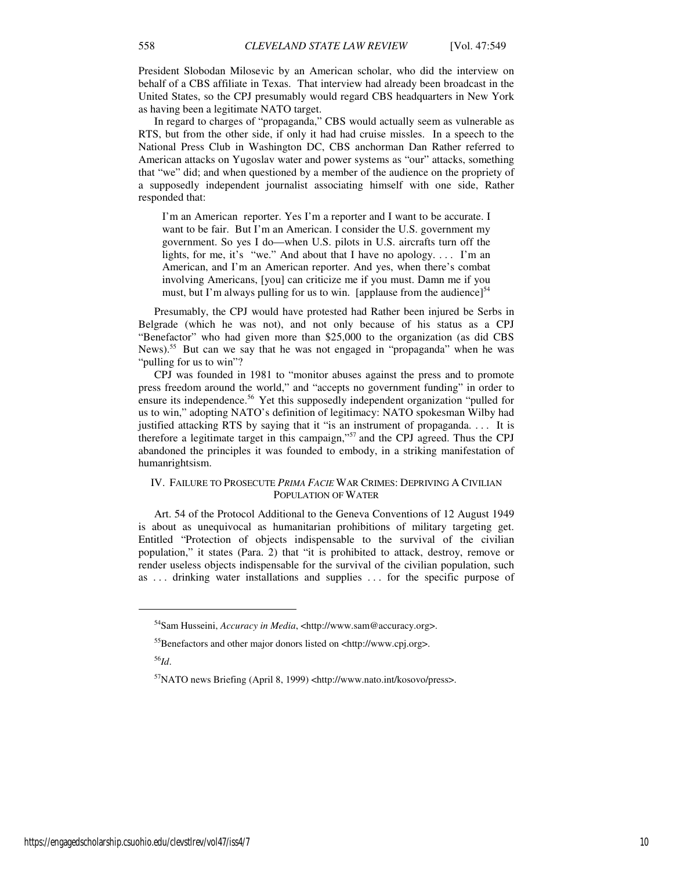President Slobodan Milosevic by an American scholar, who did the interview on behalf of a CBS affiliate in Texas. That interview had already been broadcast in the United States, so the CPJ presumably would regard CBS headquarters in New York as having been a legitimate NATO target.

In regard to charges of "propaganda," CBS would actually seem as vulnerable as RTS, but from the other side, if only it had had cruise missles. In a speech to the National Press Club in Washington DC, CBS anchorman Dan Rather referred to American attacks on Yugoslav water and power systems as "our" attacks, something that "we" did; and when questioned by a member of the audience on the propriety of a supposedly independent journalist associating himself with one side, Rather responded that:

I'm an American reporter. Yes I'm a reporter and I want to be accurate. I want to be fair. But I'm an American. I consider the U.S. government my government. So yes I do—when U.S. pilots in U.S. aircrafts turn off the lights, for me, it's "we." And about that I have no apology. . . . I'm an American, and I'm an American reporter. And yes, when there's combat involving Americans, [you] can criticize me if you must. Damn me if you must, but I'm always pulling for us to win. [applause from the audience]<sup>54</sup>

Presumably, the CPJ would have protested had Rather been injured be Serbs in Belgrade (which he was not), and not only because of his status as a CPJ "Benefactor" who had given more than \$25,000 to the organization (as did CBS News).<sup>55</sup> But can we say that he was not engaged in "propaganda" when he was "pulling for us to win"?

CPJ was founded in 1981 to "monitor abuses against the press and to promote press freedom around the world," and "accepts no government funding" in order to ensure its independence.<sup>56</sup> Yet this supposedly independent organization "pulled for us to win," adopting NATO's definition of legitimacy: NATO spokesman Wilby had justified attacking RTS by saying that it "is an instrument of propaganda.... It is therefore a legitimate target in this campaign,"<sup>57</sup> and the CPJ agreed. Thus the CPJ abandoned the principles it was founded to embody, in a striking manifestation of humanrightsism.

## IV. FAILURE TO PROSECUTE *PRIMA FACIE* WAR CRIMES: DEPRIVING A CIVILIAN POPULATION OF WATER

Art. 54 of the Protocol Additional to the Geneva Conventions of 12 August 1949 is about as unequivocal as humanitarian prohibitions of military targeting get. Entitled "Protection of objects indispensable to the survival of the civilian population," it states (Para. 2) that "it is prohibited to attack, destroy, remove or render useless objects indispensable for the survival of the civilian population, such as . . . drinking water installations and supplies . . . for the specific purpose of

<sup>56</sup>*Id*.

1

<sup>54</sup>Sam Husseini, *Accuracy in Media*, <http://www.sam@accuracy.org>.

<sup>55</sup>Benefactors and other major donors listed on <http://www.cpj.org>.

<sup>57</sup>NATO news Briefing (April 8, 1999) <http://www.nato.int/kosovo/press>.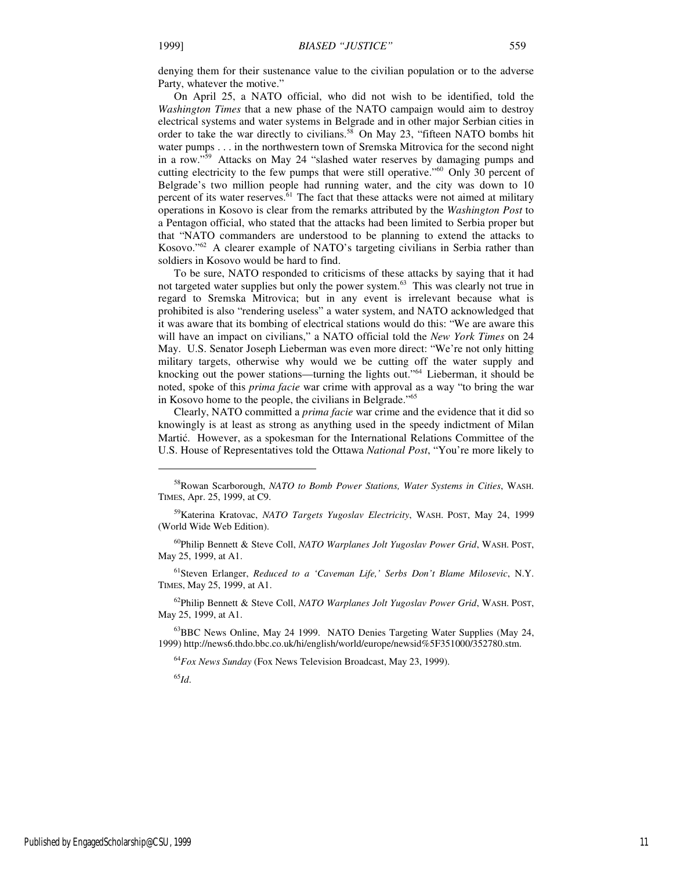denying them for their sustenance value to the civilian population or to the adverse Party, whatever the motive."

On April 25, a NATO official, who did not wish to be identified, told the *Washington Times* that a new phase of the NATO campaign would aim to destroy electrical systems and water systems in Belgrade and in other major Serbian cities in order to take the war directly to civilians.<sup>58</sup> On May 23, "fifteen NATO bombs hit water pumps . . . in the northwestern town of Sremska Mitrovica for the second night in a row."<sup>59</sup> Attacks on May 24 "slashed water reserves by damaging pumps and cutting electricity to the few pumps that were still operative." $60$  Only 30 percent of Belgrade's two million people had running water, and the city was down to 10 percent of its water reserves.<sup>61</sup> The fact that these attacks were not aimed at military operations in Kosovo is clear from the remarks attributed by the *Washington Post* to a Pentagon official, who stated that the attacks had been limited to Serbia proper but that "NATO commanders are understood to be planning to extend the attacks to Kosovo."<sup>62</sup> A clearer example of NATO's targeting civilians in Serbia rather than soldiers in Kosovo would be hard to find.

To be sure, NATO responded to criticisms of these attacks by saying that it had not targeted water supplies but only the power system.<sup>63</sup> This was clearly not true in regard to Sremska Mitrovica; but in any event is irrelevant because what is prohibited is also "rendering useless" a water system, and NATO acknowledged that it was aware that its bombing of electrical stations would do this: "We are aware this will have an impact on civilians," a NATO official told the *New York Times* on 24 May. U.S. Senator Joseph Lieberman was even more direct: "We're not only hitting military targets, otherwise why would we be cutting off the water supply and knocking out the power stations—turning the lights out."<sup>64</sup> Lieberman, it should be noted, spoke of this *prima facie* war crime with approval as a way "to bring the war in Kosovo home to the people, the civilians in Belgrade."<sup>65</sup>

Clearly, NATO committed a *prima facie* war crime and the evidence that it did so knowingly is at least as strong as anything used in the speedy indictment of Milan Martić. However, as a spokesman for the International Relations Committee of the U.S. House of Representatives told the Ottawa *National Post*, "You're more likely to

<sup>62</sup>Philip Bennett & Steve Coll, *NATO Warplanes Jolt Yugoslav Power Grid*, WASH. POST, May 25, 1999, at A1.

<sup>63</sup>BBC News Online, May 24 1999. NATO Denies Targeting Water Supplies (May 24, 1999) http://news6.thdo.bbc.co.uk/hi/english/world/europe/newsid%5F351000/352780.stm.

<sup>64</sup>*Fox News Sunday* (Fox News Television Broadcast, May 23, 1999).

<sup>65</sup>*Id*.

<sup>58</sup>Rowan Scarborough, *NATO to Bomb Power Stations, Water Systems in Cities*, WASH. TIMES, Apr. 25, 1999, at C9.

<sup>59</sup>Katerina Kratovac, *NATO Targets Yugoslav Electricity*, WASH. POST, May 24, 1999 (World Wide Web Edition).

<sup>60</sup>Philip Bennett & Steve Coll, *NATO Warplanes Jolt Yugoslav Power Grid*, WASH. POST, May 25, 1999, at A1.

<sup>61</sup>Steven Erlanger, *Reduced to a 'Caveman Life,' Serbs Don't Blame Milosevic*, N.Y. TIMES, May 25, 1999, at A1.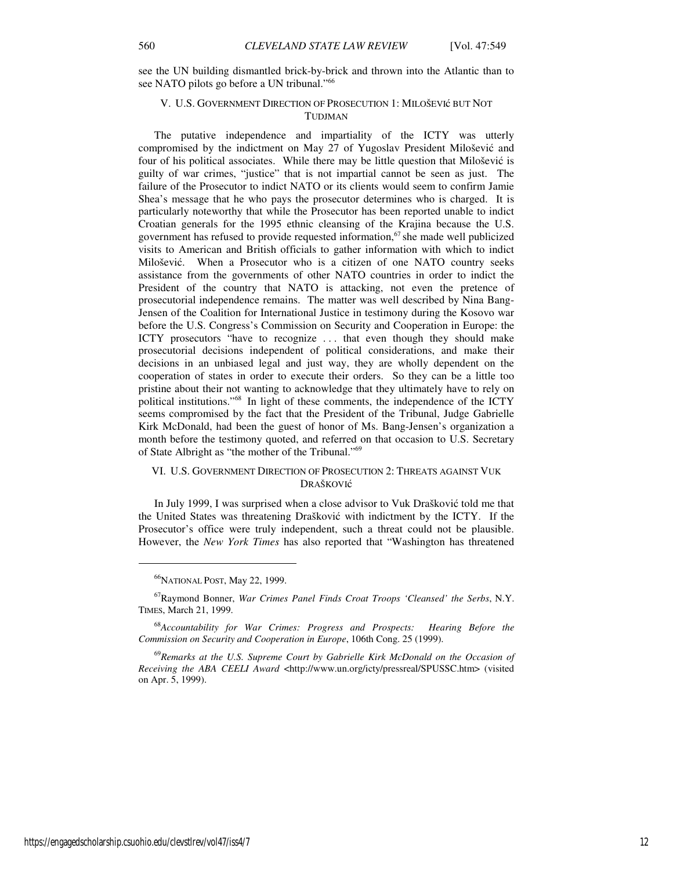see the UN building dismantled brick-by-brick and thrown into the Atlantic than to see NATO pilots go before a UN tribunal."<sup>66</sup>

## V. U.S. GOVERNMENT DIRECTION OF PROSECUTION 1: MILOŠEVIĆ BUT NOT TUDJMAN

The putative independence and impartiality of the ICTY was utterly compromised by the indictment on May 27 of Yugoslav President Milošević and four of his political associates. While there may be little question that Milošević is guilty of war crimes, "justice" that is not impartial cannot be seen as just. The failure of the Prosecutor to indict NATO or its clients would seem to confirm Jamie Shea's message that he who pays the prosecutor determines who is charged. It is particularly noteworthy that while the Prosecutor has been reported unable to indict Croatian generals for the 1995 ethnic cleansing of the Krajina because the U.S. government has refused to provide requested information, $67$  she made well publicized visits to American and British officials to gather information with which to indict Milošević. When a Prosecutor who is a citizen of one NATO country seeks assistance from the governments of other NATO countries in order to indict the President of the country that NATO is attacking, not even the pretence of prosecutorial independence remains. The matter was well described by Nina Bang-Jensen of the Coalition for International Justice in testimony during the Kosovo war before the U.S. Congress's Commission on Security and Cooperation in Europe: the ICTY prosecutors "have to recognize . . . that even though they should make prosecutorial decisions independent of political considerations, and make their decisions in an unbiased legal and just way, they are wholly dependent on the cooperation of states in order to execute their orders. So they can be a little too pristine about their not wanting to acknowledge that they ultimately have to rely on political institutions."<sup>68</sup> In light of these comments, the independence of the ICTY seems compromised by the fact that the President of the Tribunal, Judge Gabrielle Kirk McDonald, had been the guest of honor of Ms. Bang-Jensen's organization a month before the testimony quoted, and referred on that occasion to U.S. Secretary of State Albright as "the mother of the Tribunal."<sup>69</sup>

## VI. U.S. GOVERNMENT DIRECTION OF PROSECUTION 2: THREATS AGAINST VUK DRAŠKOVIĆ

In July 1999, I was surprised when a close advisor to Vuk Drašković told me that the United States was threatening Drašković with indictment by the ICTY. If the Prosecutor's office were truly independent, such a threat could not be plausible. However, the *New York Times* has also reported that "Washington has threatened

<sup>&</sup>lt;sup>66</sup>NATIONAL POST, May 22, 1999.

<sup>67</sup>Raymond Bonner, *War Crimes Panel Finds Croat Troops 'Cleansed' the Serbs*, N.Y. TIMES, March 21, 1999.

<sup>68</sup>*Accountability for War Crimes: Progress and Prospects: Hearing Before the Commission on Security and Cooperation in Europe*, 106th Cong. 25 (1999).

<sup>69</sup>*Remarks at the U.S. Supreme Court by Gabrielle Kirk McDonald on the Occasion of Receiving the ABA CEELI Award <http://www.un.org/icty/pressreal/SPUSSC.htm> (visited* on Apr. 5, 1999).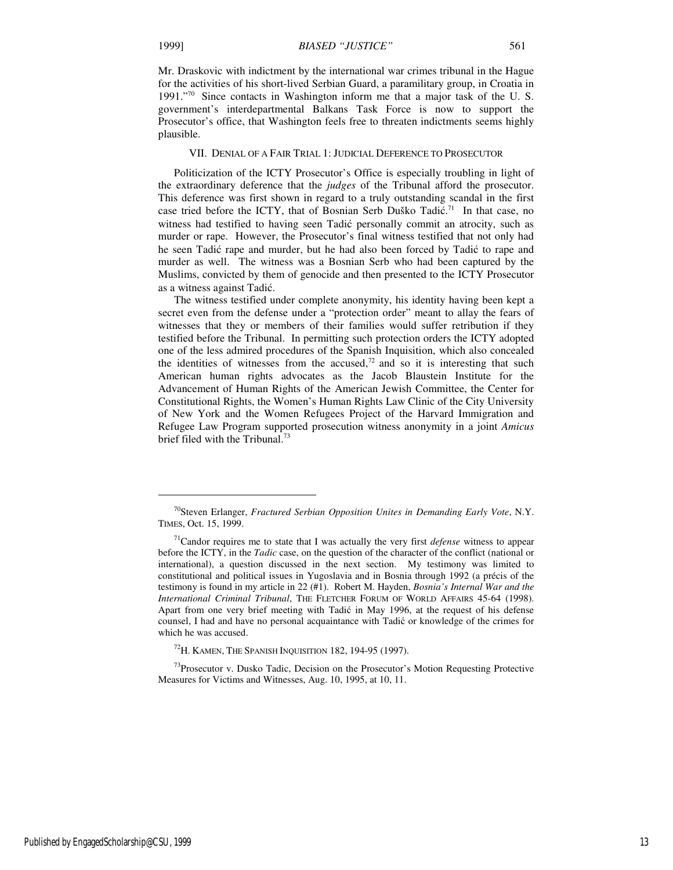$\overline{a}$ 

Mr. Draskovic with indictment by the international war crimes tribunal in the Hague for the activities of his short-lived Serbian Guard, a paramilitary group, in Croatia in 1991."<sup>70</sup> Since contacts in Washington inform me that a major task of the U. S. government's interdepartmental Balkans Task Force is now to support the Prosecutor's office, that Washington feels free to threaten indictments seems highly plausible.

#### VII. DENIAL OF A FAIR TRIAL 1: JUDICIAL DEFERENCE TO PROSECUTOR

Politicization of the ICTY Prosecutor's Office is especially troubling in light of the extraordinary deference that the *judges* of the Tribunal afford the prosecutor. This deference was first shown in regard to a truly outstanding scandal in the first case tried before the ICTY, that of Bosnian Serb Duško Tadić.<sup>71</sup> In that case, no witness had testified to having seen Tadić personally commit an atrocity, such as murder or rape. However, the Prosecutor's final witness testified that not only had he seen Tadić rape and murder, but he had also been forced by Tadić to rape and murder as well. The witness was a Bosnian Serb who had been captured by the Muslims, convicted by them of genocide and then presented to the ICTY Prosecutor as a witness against Tadić.

The witness testified under complete anonymity, his identity having been kept a secret even from the defense under a "protection order" meant to allay the fears of witnesses that they or members of their families would suffer retribution if they testified before the Tribunal. In permitting such protection orders the ICTY adopted one of the less admired procedures of the Spanish Inquisition, which also concealed the identities of witnesses from the accused,<sup>72</sup> and so it is interesting that such American human rights advocates as the Jacob Blaustein Institute for the Advancement of Human Rights of the American Jewish Committee, the Center for Constitutional Rights, the Women's Human Rights Law Clinic of the City University of New York and the Women Refugees Project of the Harvard Immigration and Refugee Law Program supported prosecution witness anonymity in a joint *Amicus* brief filed with the Tribunal.<sup>73</sup>

 $^{72}$ H. KAMEN, THE SPANISH INQUISITION 182, 194-95 (1997).

<sup>73</sup>Prosecutor v. Dusko Tadic, Decision on the Prosecutor's Motion Requesting Protective Measures for Victims and Witnesses, Aug. 10, 1995, at 10, 11.

<sup>70</sup>Steven Erlanger, *Fractured Serbian Opposition Unites in Demanding Early Vote*, N.Y. TIMES, Oct. 15, 1999.

<sup>71</sup>Candor requires me to state that I was actually the very first *defense* witness to appear before the ICTY, in the *Tadic* case, on the question of the character of the conflict (national or international), a question discussed in the next section. My testimony was limited to constitutional and political issues in Yugoslavia and in Bosnia through 1992 (a précis of the testimony is found in my article in 22 (#1). Robert M. Hayden, *Bosnia's Internal War and the International Criminal Tribunal*, THE FLETCHER FORUM OF WORLD AFFAIRS 45-64 (1998). Apart from one very brief meeting with Tadić in May 1996, at the request of his defense counsel, I had and have no personal acquaintance with Tadić or knowledge of the crimes for which he was accused.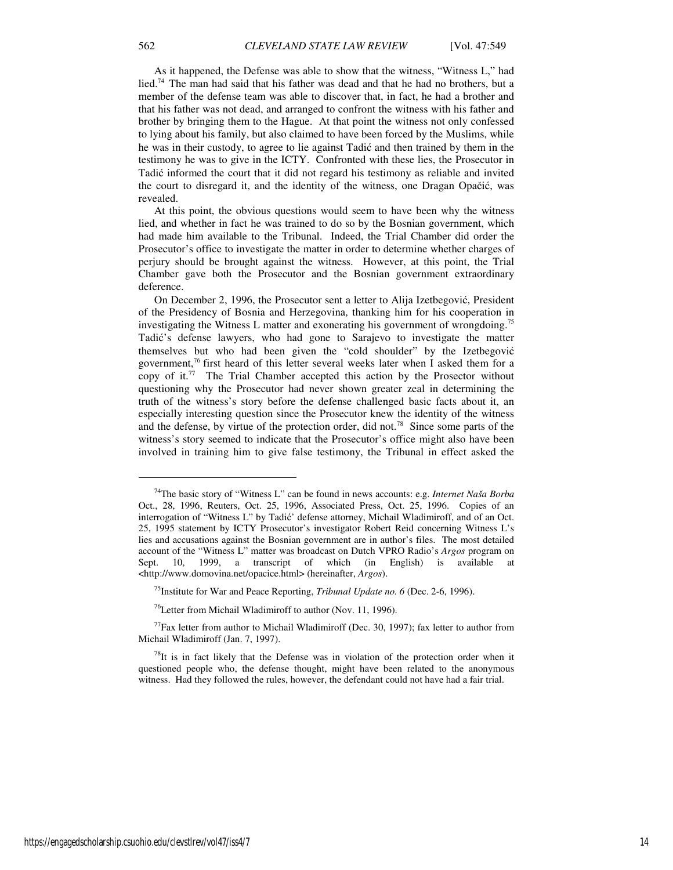As it happened, the Defense was able to show that the witness, "Witness L," had lied.<sup>74</sup> The man had said that his father was dead and that he had no brothers, but a member of the defense team was able to discover that, in fact, he had a brother and that his father was not dead, and arranged to confront the witness with his father and brother by bringing them to the Hague. At that point the witness not only confessed to lying about his family, but also claimed to have been forced by the Muslims, while he was in their custody, to agree to lie against Tadić and then trained by them in the testimony he was to give in the ICTY. Confronted with these lies, the Prosecutor in Tadić informed the court that it did not regard his testimony as reliable and invited the court to disregard it, and the identity of the witness, one Dragan Opačić, was revealed.

At this point, the obvious questions would seem to have been why the witness lied, and whether in fact he was trained to do so by the Bosnian government, which had made him available to the Tribunal. Indeed, the Trial Chamber did order the Prosecutor's office to investigate the matter in order to determine whether charges of perjury should be brought against the witness. However, at this point, the Trial Chamber gave both the Prosecutor and the Bosnian government extraordinary deference.

On December 2, 1996, the Prosecutor sent a letter to Alija Izetbegović, President of the Presidency of Bosnia and Herzegovina, thanking him for his cooperation in investigating the Witness L matter and exonerating his government of wrongdoing.<sup>75</sup> Tadić's defense lawyers, who had gone to Sarajevo to investigate the matter themselves but who had been given the "cold shoulder" by the Izetbegović government, $76$  first heard of this letter several weeks later when I asked them for a copy of it.<sup>77</sup> The Trial Chamber accepted this action by the Prosector without questioning why the Prosecutor had never shown greater zeal in determining the truth of the witness's story before the defense challenged basic facts about it, an especially interesting question since the Prosecutor knew the identity of the witness and the defense, by virtue of the protection order, did not.<sup>78</sup> Since some parts of the witness's story seemed to indicate that the Prosecutor's office might also have been involved in training him to give false testimony, the Tribunal in effect asked the

l

<sup>74</sup>The basic story of "Witness L" can be found in news accounts: e.g. *Internet Naša Borba* Oct., 28, 1996, Reuters, Oct. 25, 1996, Associated Press, Oct. 25, 1996. Copies of an interrogation of "Witness L" by Tadić' defense attorney, Michail Wladimiroff, and of an Oct. 25, 1995 statement by ICTY Prosecutor's investigator Robert Reid concerning Witness L's lies and accusations against the Bosnian government are in author's files. The most detailed account of the "Witness L" matter was broadcast on Dutch VPRO Radio's *Argos* program on Sept. 10, 1999, a transcript of which (in English) is available at <http://www.domovina.net/opacice.html> (hereinafter, *Argos*).

<sup>75</sup>Institute for War and Peace Reporting, *Tribunal Update no. 6* (Dec. 2-6, 1996).

<sup>76</sup>Letter from Michail Wladimiroff to author (Nov. 11, 1996).

 $^{77}$ Fax letter from author to Michail Wladimiroff (Dec. 30, 1997); fax letter to author from Michail Wladimiroff (Jan. 7, 1997).

 $78$ It is in fact likely that the Defense was in violation of the protection order when it questioned people who, the defense thought, might have been related to the anonymous witness. Had they followed the rules, however, the defendant could not have had a fair trial.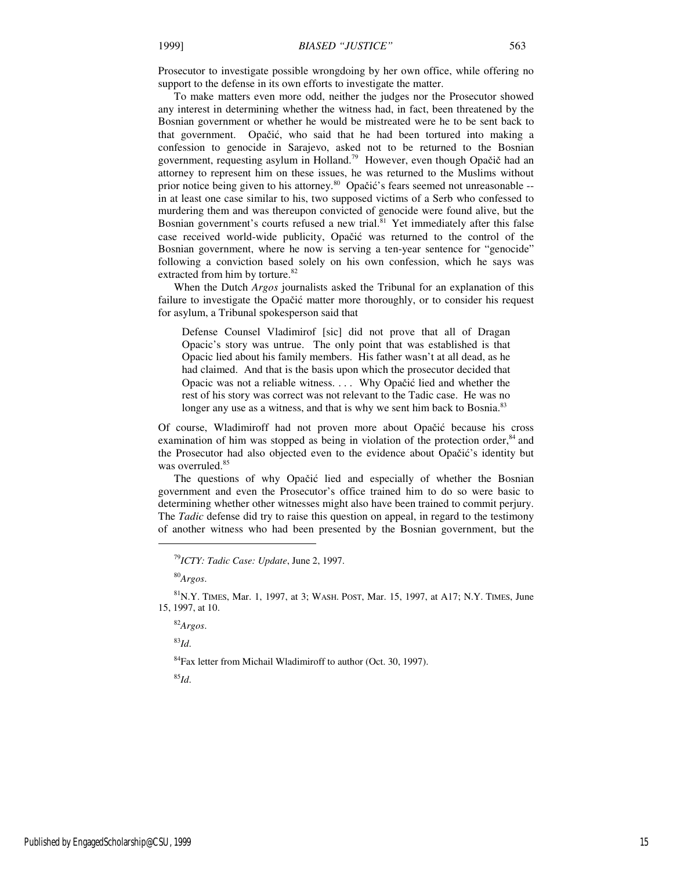Prosecutor to investigate possible wrongdoing by her own office, while offering no support to the defense in its own efforts to investigate the matter.

To make matters even more odd, neither the judges nor the Prosecutor showed any interest in determining whether the witness had, in fact, been threatened by the Bosnian government or whether he would be mistreated were he to be sent back to that government. Opačić, who said that he had been tortured into making a confession to genocide in Sarajevo, asked not to be returned to the Bosnian government, requesting asylum in Holland.<sup>79</sup> However, even though Opačič had an attorney to represent him on these issues, he was returned to the Muslims without prior notice being given to his attorney.<sup>80</sup> Opačić's fears seemed not unreasonable -in at least one case similar to his, two supposed victims of a Serb who confessed to murdering them and was thereupon convicted of genocide were found alive, but the Bosnian government's courts refused a new trial. $81$  Yet immediately after this false case received world-wide publicity, Opačić was returned to the control of the Bosnian government, where he now is serving a ten-year sentence for "genocide" following a conviction based solely on his own confession, which he says was extracted from him by torture.<sup>82</sup>

When the Dutch *Argos* journalists asked the Tribunal for an explanation of this failure to investigate the Opačić matter more thoroughly, or to consider his request for asylum, a Tribunal spokesperson said that

Defense Counsel Vladimirof [sic] did not prove that all of Dragan Opacic's story was untrue. The only point that was established is that Opacic lied about his family members. His father wasn't at all dead, as he had claimed. And that is the basis upon which the prosecutor decided that Opacic was not a reliable witness. . . . Why Opačić lied and whether the rest of his story was correct was not relevant to the Tadic case. He was no longer any use as a witness, and that is why we sent him back to Bosnia.<sup>83</sup>

Of course, Wladimiroff had not proven more about Opačić because his cross examination of him was stopped as being in violation of the protection order, $84$  and the Prosecutor had also objected even to the evidence about Opačić's identity but was overruled.<sup>85</sup>

The questions of why Opačić lied and especially of whether the Bosnian government and even the Prosecutor's office trained him to do so were basic to determining whether other witnesses might also have been trained to commit perjury. The *Tadic* defense did try to raise this question on appeal, in regard to the testimony of another witness who had been presented by the Bosnian government, but the

<sup>79</sup>*ICTY: Tadic Case: Update*, June 2, 1997.

<sup>80</sup>*Argos*.

 $\overline{a}$ 

 $81$ N.Y. TIMES, Mar. 1, 1997, at 3; WASH. POST, Mar. 15, 1997, at A17; N.Y. TIMES, June 15, 1997, at 10.

<sup>82</sup>*Argos*.

<sup>83</sup>*Id*.

<sup>84</sup>Fax letter from Michail Wladimiroff to author (Oct. 30, 1997).

<sup>85</sup>*Id*.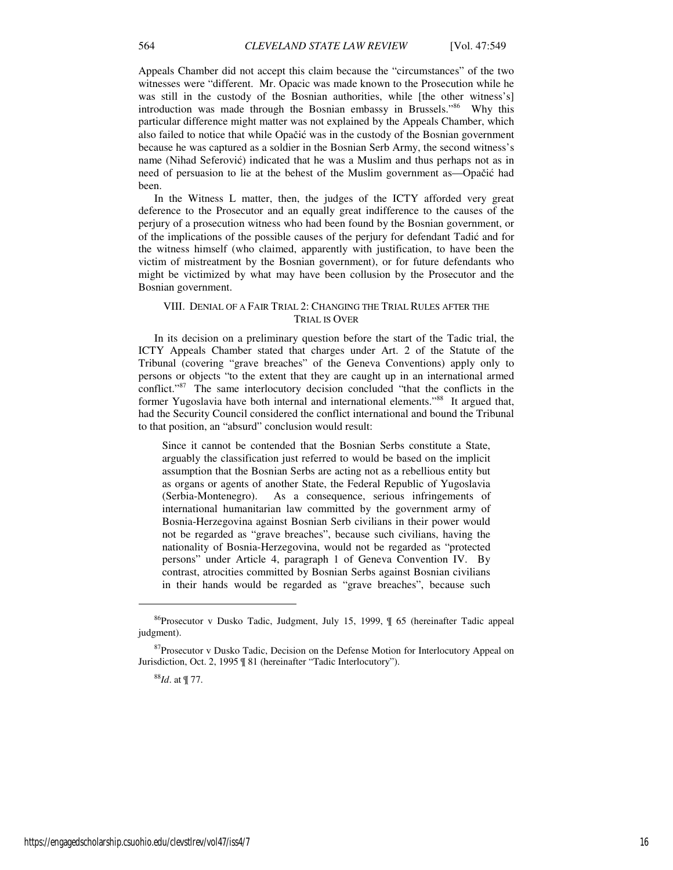Appeals Chamber did not accept this claim because the "circumstances" of the two witnesses were "different. Mr. Opacic was made known to the Prosecution while he was still in the custody of the Bosnian authorities, while [the other witness's] introduction was made through the Bosnian embassy in Brussels."<sup>86</sup> Why this particular difference might matter was not explained by the Appeals Chamber, which also failed to notice that while Opačić was in the custody of the Bosnian government because he was captured as a soldier in the Bosnian Serb Army, the second witness's name (Nihad Seferović) indicated that he was a Muslim and thus perhaps not as in need of persuasion to lie at the behest of the Muslim government as—Opačić had been.

In the Witness L matter, then, the judges of the ICTY afforded very great deference to the Prosecutor and an equally great indifference to the causes of the perjury of a prosecution witness who had been found by the Bosnian government, or of the implications of the possible causes of the perjury for defendant Tadić and for the witness himself (who claimed, apparently with justification, to have been the victim of mistreatment by the Bosnian government), or for future defendants who might be victimized by what may have been collusion by the Prosecutor and the Bosnian government.

## VIII. DENIAL OF A FAIR TRIAL 2: CHANGING THE TRIAL RULES AFTER THE TRIAL IS OVER

In its decision on a preliminary question before the start of the Tadic trial, the ICTY Appeals Chamber stated that charges under Art. 2 of the Statute of the Tribunal (covering "grave breaches" of the Geneva Conventions) apply only to persons or objects "to the extent that they are caught up in an international armed conflict."87 The same interlocutory decision concluded "that the conflicts in the former Yugoslavia have both internal and international elements."<sup>88</sup> It argued that, had the Security Council considered the conflict international and bound the Tribunal to that position, an "absurd" conclusion would result:

Since it cannot be contended that the Bosnian Serbs constitute a State, arguably the classification just referred to would be based on the implicit assumption that the Bosnian Serbs are acting not as a rebellious entity but as organs or agents of another State, the Federal Republic of Yugoslavia (Serbia-Montenegro). As a consequence, serious infringements of international humanitarian law committed by the government army of Bosnia-Herzegovina against Bosnian Serb civilians in their power would not be regarded as "grave breaches", because such civilians, having the nationality of Bosnia-Herzegovina, would not be regarded as "protected persons" under Article 4, paragraph 1 of Geneva Convention IV. By contrast, atrocities committed by Bosnian Serbs against Bosnian civilians in their hands would be regarded as "grave breaches", because such

1

<sup>&</sup>lt;sup>86</sup>Prosecutor v Dusko Tadic, Judgment, July 15, 1999, ¶ 65 (hereinafter Tadic appeal judgment).

<sup>&</sup>lt;sup>87</sup>Prosecutor v Dusko Tadic, Decision on the Defense Motion for Interlocutory Appeal on Jurisdiction, Oct. 2, 1995 ¶ 81 (hereinafter "Tadic Interlocutory").

<sup>88</sup>*Id*. at ¶ 77.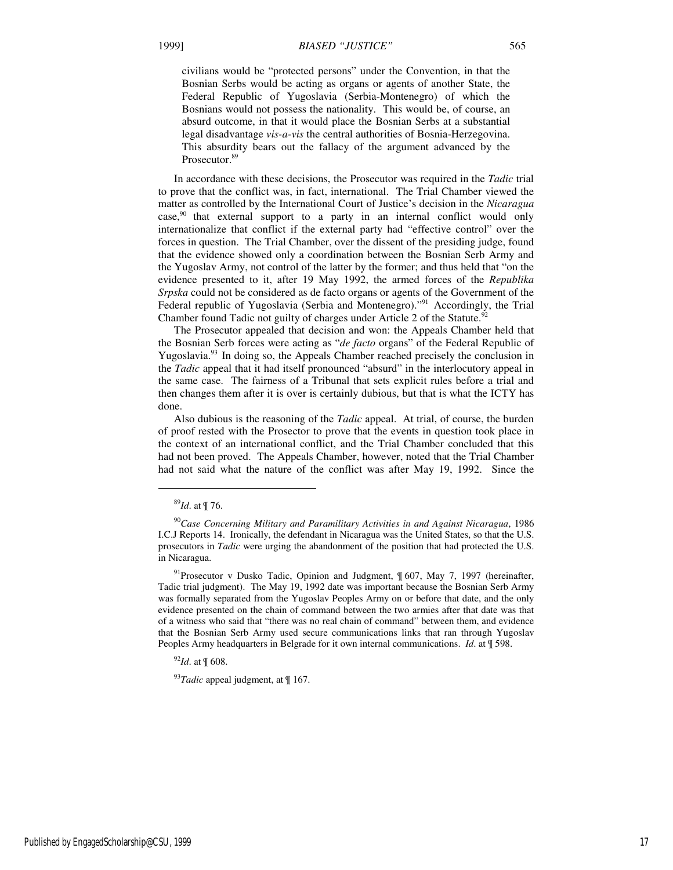civilians would be "protected persons" under the Convention, in that the Bosnian Serbs would be acting as organs or agents of another State, the Federal Republic of Yugoslavia (Serbia-Montenegro) of which the Bosnians would not possess the nationality. This would be, of course, an absurd outcome, in that it would place the Bosnian Serbs at a substantial legal disadvantage *vis-a-vis* the central authorities of Bosnia-Herzegovina. This absurdity bears out the fallacy of the argument advanced by the Prosecutor.<sup>89</sup>

In accordance with these decisions, the Prosecutor was required in the *Tadic* trial to prove that the conflict was, in fact, international. The Trial Chamber viewed the matter as controlled by the International Court of Justice's decision in the *Nicaragua* case, $90$  that external support to a party in an internal conflict would only internationalize that conflict if the external party had "effective control" over the forces in question. The Trial Chamber, over the dissent of the presiding judge, found that the evidence showed only a coordination between the Bosnian Serb Army and the Yugoslav Army, not control of the latter by the former; and thus held that "on the evidence presented to it, after 19 May 1992, the armed forces of the *Republika Srpska* could not be considered as de facto organs or agents of the Government of the Federal republic of Yugoslavia (Serbia and Montenegro)."<sup>91</sup> Accordingly, the Trial Chamber found Tadic not guilty of charges under Article 2 of the Statute.<sup>92</sup>

The Prosecutor appealed that decision and won: the Appeals Chamber held that the Bosnian Serb forces were acting as "*de facto* organs" of the Federal Republic of Yugoslavia.<sup>93</sup> In doing so, the Appeals Chamber reached precisely the conclusion in the *Tadic* appeal that it had itself pronounced "absurd" in the interlocutory appeal in the same case. The fairness of a Tribunal that sets explicit rules before a trial and then changes them after it is over is certainly dubious, but that is what the ICTY has done.

Also dubious is the reasoning of the *Tadic* appeal. At trial, of course, the burden of proof rested with the Prosector to prove that the events in question took place in the context of an international conflict, and the Trial Chamber concluded that this had not been proved. The Appeals Chamber, however, noted that the Trial Chamber had not said what the nature of the conflict was after May 19, 1992. Since the

1

 $^{92}$ *Id.* at ¶ 608.

<sup>93</sup>Tadic appeal judgment, at ¶ 167.

<sup>89</sup>*Id*. at ¶ 76.

<sup>90</sup>*Case Concerning Military and Paramilitary Activities in and Against Nicaragua*, 1986 I.C.J Reports 14. Ironically, the defendant in Nicaragua was the United States, so that the U.S. prosecutors in *Tadic* were urging the abandonment of the position that had protected the U.S. in Nicaragua.

<sup>&</sup>lt;sup>91</sup>Prosecutor v Dusko Tadic, Opinion and Judgment,  $\parallel$  607, May 7, 1997 (hereinafter, Tadic trial judgment). The May 19, 1992 date was important because the Bosnian Serb Army was formally separated from the Yugoslav Peoples Army on or before that date, and the only evidence presented on the chain of command between the two armies after that date was that of a witness who said that "there was no real chain of command" between them, and evidence that the Bosnian Serb Army used secure communications links that ran through Yugoslav Peoples Army headquarters in Belgrade for it own internal communications. *Id*. at ¶ 598.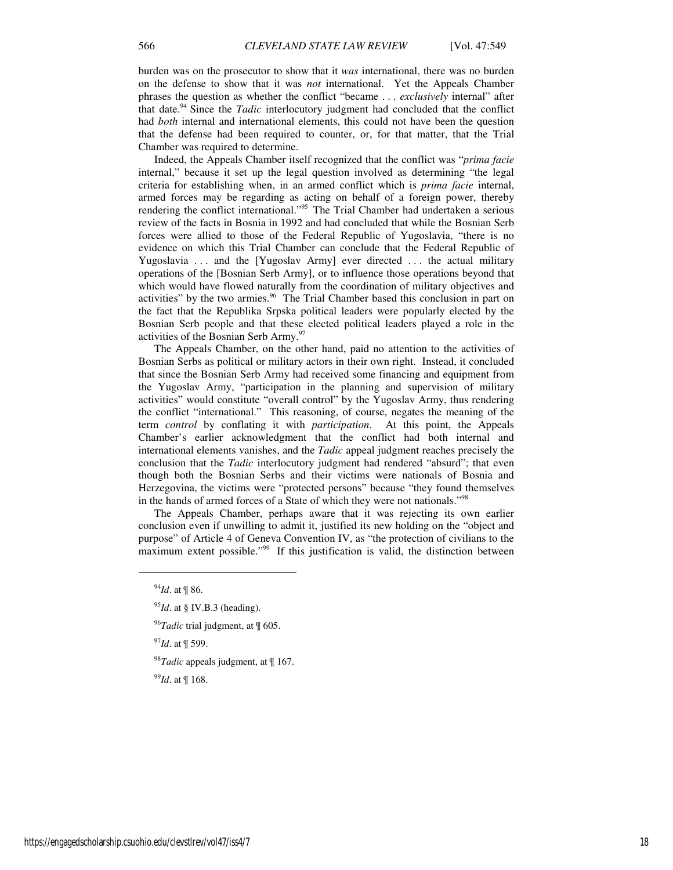burden was on the prosecutor to show that it *was* international, there was no burden on the defense to show that it was *not* international. Yet the Appeals Chamber phrases the question as whether the conflict "became . . . *exclusively* internal" after that date.<sup>94</sup> Since the *Tadic* interlocutory judgment had concluded that the conflict had *both* internal and international elements, this could not have been the question that the defense had been required to counter, or, for that matter, that the Trial Chamber was required to determine.

Indeed, the Appeals Chamber itself recognized that the conflict was "*prima facie* internal," because it set up the legal question involved as determining "the legal criteria for establishing when, in an armed conflict which is *prima facie* internal, armed forces may be regarding as acting on behalf of a foreign power, thereby rendering the conflict international."<sup>95</sup> The Trial Chamber had undertaken a serious review of the facts in Bosnia in 1992 and had concluded that while the Bosnian Serb forces were allied to those of the Federal Republic of Yugoslavia, "there is no evidence on which this Trial Chamber can conclude that the Federal Republic of Yugoslavia ... and the [Yugoslav Army] ever directed ... the actual military operations of the [Bosnian Serb Army], or to influence those operations beyond that which would have flowed naturally from the coordination of military objectives and activities" by the two armies.<sup>96</sup> The Trial Chamber based this conclusion in part on the fact that the Republika Srpska political leaders were popularly elected by the Bosnian Serb people and that these elected political leaders played a role in the activities of the Bosnian Serb Army.<sup>97</sup>

The Appeals Chamber, on the other hand, paid no attention to the activities of Bosnian Serbs as political or military actors in their own right. Instead, it concluded that since the Bosnian Serb Army had received some financing and equipment from the Yugoslav Army, "participation in the planning and supervision of military activities" would constitute "overall control" by the Yugoslav Army, thus rendering the conflict "international." This reasoning, of course, negates the meaning of the term *control* by conflating it with *participation*. At this point, the Appeals Chamber's earlier acknowledgment that the conflict had both internal and international elements vanishes, and the *Tadic* appeal judgment reaches precisely the conclusion that the *Tadic* interlocutory judgment had rendered "absurd"; that even though both the Bosnian Serbs and their victims were nationals of Bosnia and Herzegovina, the victims were "protected persons" because "they found themselves in the hands of armed forces of a State of which they were not nationals."<sup>98</sup>

The Appeals Chamber, perhaps aware that it was rejecting its own earlier conclusion even if unwilling to admit it, justified its new holding on the "object and purpose" of Article 4 of Geneva Convention IV, as "the protection of civilians to the maximum extent possible."<sup>99</sup> If this justification is valid, the distinction between

1

<sup>97</sup>*Id*. at ¶ 599.

<sup>98</sup>*Tadic* appeals judgment, at ¶ 167.

<sup>99</sup>*Id*. at ¶ 168.

<sup>94</sup>*Id*. at ¶ 86.

<sup>&</sup>lt;sup>95</sup>*Id*. at § IV.B.3 (heading).

<sup>96</sup>*Tadic* trial judgment, at ¶ 605.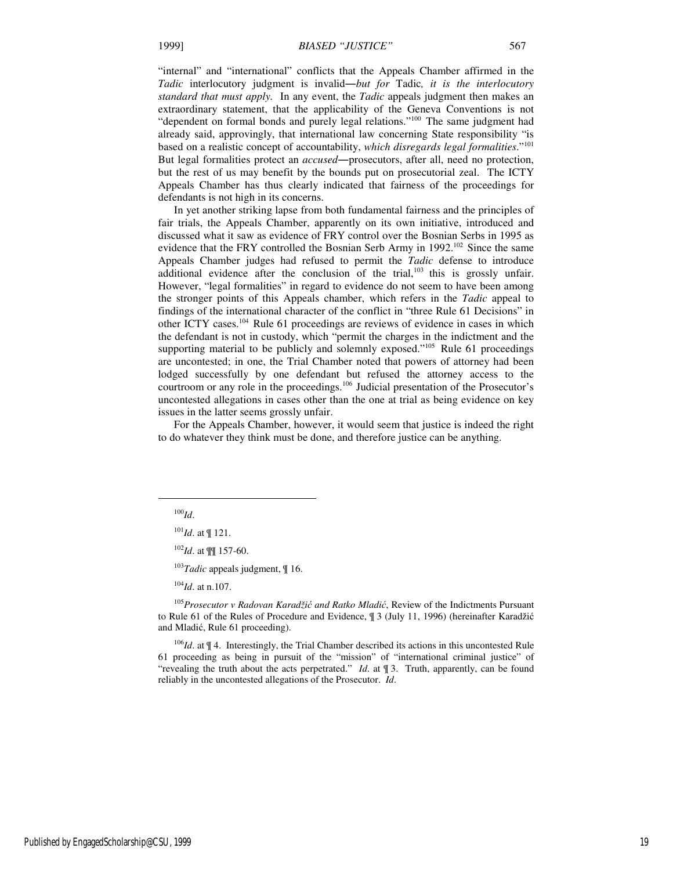"internal" and "international" conflicts that the Appeals Chamber affirmed in the *Tadic* interlocutory judgment is invalid―*but for* Tadic*, it is the interlocutory standard that must apply.* In any event, the *Tadic* appeals judgment then makes an extraordinary statement, that the applicability of the Geneva Conventions is not "dependent on formal bonds and purely legal relations."<sup>100</sup> The same judgment had already said, approvingly, that international law concerning State responsibility "is based on a realistic concept of accountability, *which disregards legal formalities*."<sup>101</sup> But legal formalities protect an *accused*―prosecutors, after all, need no protection, but the rest of us may benefit by the bounds put on prosecutorial zeal. The ICTY Appeals Chamber has thus clearly indicated that fairness of the proceedings for defendants is not high in its concerns.

In yet another striking lapse from both fundamental fairness and the principles of fair trials, the Appeals Chamber, apparently on its own initiative, introduced and discussed what it saw as evidence of FRY control over the Bosnian Serbs in 1995 as evidence that the FRY controlled the Bosnian Serb Army in  $1992$ .<sup>102</sup> Since the same Appeals Chamber judges had refused to permit the *Tadic* defense to introduce additional evidence after the conclusion of the trial, $103$  this is grossly unfair. However, "legal formalities" in regard to evidence do not seem to have been among the stronger points of this Appeals chamber, which refers in the *Tadic* appeal to findings of the international character of the conflict in "three Rule 61 Decisions" in other ICTY cases.<sup>104</sup> Rule 61 proceedings are reviews of evidence in cases in which the defendant is not in custody, which "permit the charges in the indictment and the supporting material to be publicly and solemnly exposed." $105$  Rule 61 proceedings are uncontested; in one, the Trial Chamber noted that powers of attorney had been lodged successfully by one defendant but refused the attorney access to the courtroom or any role in the proceedings.<sup>106</sup> Judicial presentation of the Prosecutor's uncontested allegations in cases other than the one at trial as being evidence on key issues in the latter seems grossly unfair.

For the Appeals Chamber, however, it would seem that justice is indeed the right to do whatever they think must be done, and therefore justice can be anything.

<sup>100</sup>*Id*.

 $\overline{\phantom{a}}$ 

<sup>103</sup>*Tadic* appeals judgment, ¶ 16.

<sup>104</sup>*Id*. at n.107.

<sup>105</sup>*Prosecutor v Radovan Karadži*ć *and Ratko Mladi*ć, Review of the Indictments Pursuant to Rule 61 of the Rules of Procedure and Evidence, ¶ 3 (July 11, 1996) (hereinafter Karadžić and Mladić, Rule 61 proceeding).

<sup>106</sup>*Id.* at  $\P$  4. Interestingly, the Trial Chamber described its actions in this uncontested Rule 61 proceeding as being in pursuit of the "mission" of "international criminal justice" of "revealing the truth about the acts perpetrated." *Id*. at ¶ 3. Truth, apparently, can be found reliably in the uncontested allegations of the Prosecutor. *Id*.

<sup>101</sup>*Id*. at ¶ 121.

<sup>102</sup>*Id*. at ¶¶ 157-60.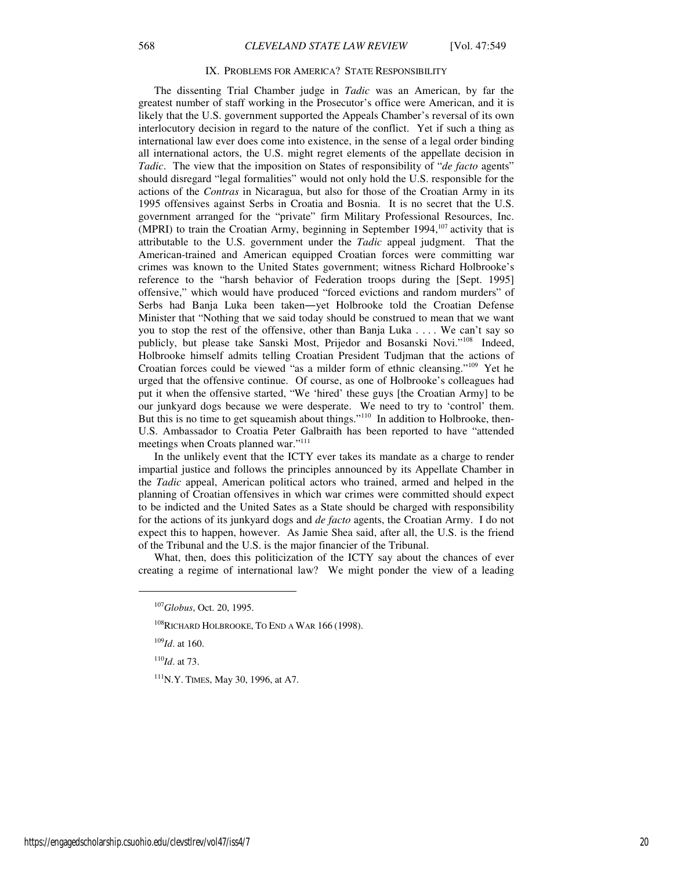### IX. PROBLEMS FOR AMERICA? STATE RESPONSIBILITY

The dissenting Trial Chamber judge in *Tadic* was an American, by far the greatest number of staff working in the Prosecutor's office were American, and it is likely that the U.S. government supported the Appeals Chamber's reversal of its own interlocutory decision in regard to the nature of the conflict. Yet if such a thing as international law ever does come into existence, in the sense of a legal order binding all international actors, the U.S. might regret elements of the appellate decision in *Tadic*. The view that the imposition on States of responsibility of "*de facto* agents" should disregard "legal formalities" would not only hold the U.S. responsible for the actions of the *Contras* in Nicaragua, but also for those of the Croatian Army in its 1995 offensives against Serbs in Croatia and Bosnia. It is no secret that the U.S. government arranged for the "private" firm Military Professional Resources, Inc. (MPRI) to train the Croatian Army, beginning in September 1994, $107$  activity that is attributable to the U.S. government under the *Tadic* appeal judgment. That the American-trained and American equipped Croatian forces were committing war crimes was known to the United States government; witness Richard Holbrooke's reference to the "harsh behavior of Federation troops during the [Sept. 1995] offensive," which would have produced "forced evictions and random murders" of Serbs had Banja Luka been taken―yet Holbrooke told the Croatian Defense Minister that "Nothing that we said today should be construed to mean that we want you to stop the rest of the offensive, other than Banja Luka . . . . We can't say so publicly, but please take Sanski Most, Prijedor and Bosanski Novi."<sup>108</sup> Indeed, Holbrooke himself admits telling Croatian President Tudjman that the actions of Croatian forces could be viewed "as a milder form of ethnic cleansing."<sup>109</sup> Yet he urged that the offensive continue. Of course, as one of Holbrooke's colleagues had put it when the offensive started, "We 'hired' these guys [the Croatian Army] to be our junkyard dogs because we were desperate. We need to try to 'control' them. But this is no time to get squeamish about things."<sup>110</sup> In addition to Holbrooke, then-U.S. Ambassador to Croatia Peter Galbraith has been reported to have "attended meetings when Croats planned war."<sup>111</sup>

In the unlikely event that the ICTY ever takes its mandate as a charge to render impartial justice and follows the principles announced by its Appellate Chamber in the *Tadic* appeal, American political actors who trained, armed and helped in the planning of Croatian offensives in which war crimes were committed should expect to be indicted and the United Sates as a State should be charged with responsibility for the actions of its junkyard dogs and *de facto* agents, the Croatian Army. I do not expect this to happen, however. As Jamie Shea said, after all, the U.S. is the friend of the Tribunal and the U.S. is the major financier of the Tribunal.

What, then, does this politicization of the ICTY say about the chances of ever creating a regime of international law? We might ponder the view of a leading

<sup>109</sup>*Id*. at 160.

<sup>110</sup>*Id*. at 73.

1

 $111$ N.Y. TIMES, May 30, 1996, at A7.

<sup>107</sup>*Globus*, Oct. 20, 1995.

<sup>108</sup>RICHARD HOLBROOKE, TO END A WAR 166 (1998).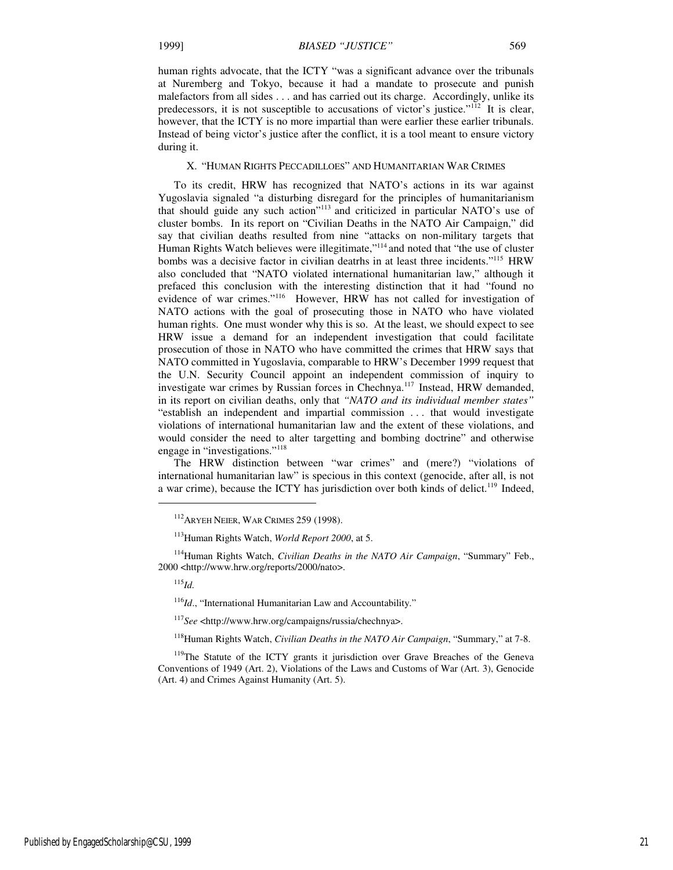human rights advocate, that the ICTY "was a significant advance over the tribunals at Nuremberg and Tokyo, because it had a mandate to prosecute and punish malefactors from all sides . . . and has carried out its charge. Accordingly, unlike its predecessors, it is not susceptible to accusations of victor's justice." $112$  It is clear, however, that the ICTY is no more impartial than were earlier these earlier tribunals. Instead of being victor's justice after the conflict, it is a tool meant to ensure victory during it.

#### X. "HUMAN RIGHTS PECCADILLOES" AND HUMANITARIAN WAR CRIMES

To its credit, HRW has recognized that NATO's actions in its war against Yugoslavia signaled "a disturbing disregard for the principles of humanitarianism that should guide any such action"<sup>113</sup> and criticized in particular NATO's use of cluster bombs. In its report on "Civilian Deaths in the NATO Air Campaign," did say that civilian deaths resulted from nine "attacks on non-military targets that Human Rights Watch believes were illegitimate,"<sup>114</sup> and noted that "the use of cluster bombs was a decisive factor in civilian deatrhs in at least three incidents."<sup>115</sup> HRW also concluded that "NATO violated international humanitarian law," although it prefaced this conclusion with the interesting distinction that it had "found no evidence of war crimes."<sup>116</sup> However, HRW has not called for investigation of NATO actions with the goal of prosecuting those in NATO who have violated human rights. One must wonder why this is so. At the least, we should expect to see HRW issue a demand for an independent investigation that could facilitate prosecution of those in NATO who have committed the crimes that HRW says that NATO committed in Yugoslavia, comparable to HRW's December 1999 request that the U.N. Security Council appoint an independent commission of inquiry to investigate war crimes by Russian forces in Chechnya.<sup>117</sup> Instead, HRW demanded, in its report on civilian deaths, only that *"NATO and its individual member states"* "establish an independent and impartial commission . . . that would investigate violations of international humanitarian law and the extent of these violations, and would consider the need to alter targetting and bombing doctrine" and otherwise engage in "investigations."<sup>118</sup>

The HRW distinction between "war crimes" and (mere?) "violations of international humanitarian law" is specious in this context (genocide, after all, is not a war crime), because the ICTY has jurisdiction over both kinds of delict.<sup>119</sup> Indeed,

<sup>115</sup>*Id.*

1

<sup>116</sup>*Id*., "International Humanitarian Law and Accountability."

<sup>117</sup>*See* <http://www.hrw.org/campaigns/russia/chechnya>.

<sup>118</sup>Human Rights Watch, *Civilian Deaths in the NATO Air Campaign*, "Summary," at 7-8.

<sup>119</sup>The Statute of the ICTY grants it jurisdiction over Grave Breaches of the Geneva Conventions of 1949 (Art. 2), Violations of the Laws and Customs of War (Art. 3), Genocide (Art. 4) and Crimes Against Humanity (Art. 5).

<sup>112</sup>ARYEH NEIER, WAR CRIMES 259 (1998).

<sup>113</sup>Human Rights Watch, *World Report 2000*, at 5.

<sup>114</sup>Human Rights Watch, *Civilian Deaths in the NATO Air Campaign*, "Summary" Feb., 2000 <http://www.hrw.org/reports/2000/nato>.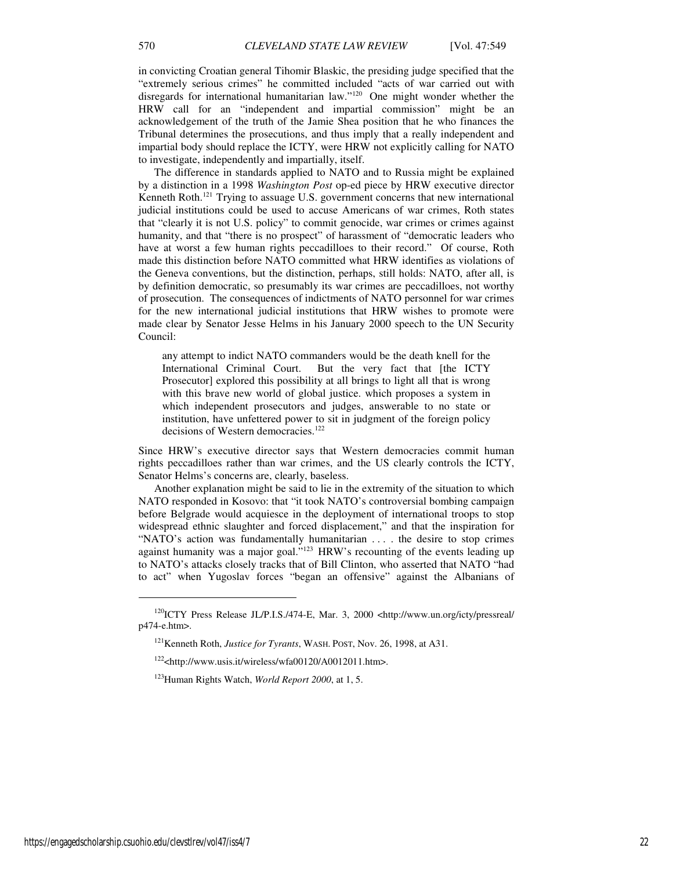in convicting Croatian general Tihomir Blaskic, the presiding judge specified that the "extremely serious crimes" he committed included "acts of war carried out with disregards for international humanitarian law."<sup>120</sup> One might wonder whether the HRW call for an "independent and impartial commission" might be an acknowledgement of the truth of the Jamie Shea position that he who finances the Tribunal determines the prosecutions, and thus imply that a really independent and impartial body should replace the ICTY, were HRW not explicitly calling for NATO to investigate, independently and impartially, itself.

The difference in standards applied to NATO and to Russia might be explained by a distinction in a 1998 *Washington Post* op-ed piece by HRW executive director Kenneth Roth.<sup>121</sup> Trying to assuage U.S. government concerns that new international judicial institutions could be used to accuse Americans of war crimes, Roth states that "clearly it is not U.S. policy" to commit genocide, war crimes or crimes against humanity, and that "there is no prospect" of harassment of "democratic leaders who have at worst a few human rights peccadilloes to their record." Of course, Roth made this distinction before NATO committed what HRW identifies as violations of the Geneva conventions, but the distinction, perhaps, still holds: NATO, after all, is by definition democratic, so presumably its war crimes are peccadilloes, not worthy of prosecution. The consequences of indictments of NATO personnel for war crimes for the new international judicial institutions that HRW wishes to promote were made clear by Senator Jesse Helms in his January 2000 speech to the UN Security Council:

any attempt to indict NATO commanders would be the death knell for the International Criminal Court. But the very fact that [the ICTY Prosecutor] explored this possibility at all brings to light all that is wrong with this brave new world of global justice. which proposes a system in which independent prosecutors and judges, answerable to no state or institution, have unfettered power to sit in judgment of the foreign policy decisions of Western democracies.<sup>122</sup>

Since HRW's executive director says that Western democracies commit human rights peccadilloes rather than war crimes, and the US clearly controls the ICTY, Senator Helms's concerns are, clearly, baseless.

Another explanation might be said to lie in the extremity of the situation to which NATO responded in Kosovo: that "it took NATO's controversial bombing campaign before Belgrade would acquiesce in the deployment of international troops to stop widespread ethnic slaughter and forced displacement," and that the inspiration for "NATO's action was fundamentally humanitarian . . . . the desire to stop crimes against humanity was a major goal."<sup>123</sup> HRW's recounting of the events leading up to NATO's attacks closely tracks that of Bill Clinton, who asserted that NATO "had to act" when Yugoslav forces "began an offensive" against the Albanians of

1

<sup>&</sup>lt;sup>120</sup>ICTY Press Release JL/P.I.S./474-E, Mar. 3, 2000 <http://www.un.org/icty/pressreal/ p474-e.htm>.

<sup>121</sup>Kenneth Roth, *Justice for Tyrants*, WASH. POST, Nov. 26, 1998, at A31.

<sup>122</sup><http://www.usis.it/wireless/wfa00120/A0012011.htm>.

<sup>123</sup>Human Rights Watch, *World Report 2000*, at 1, 5.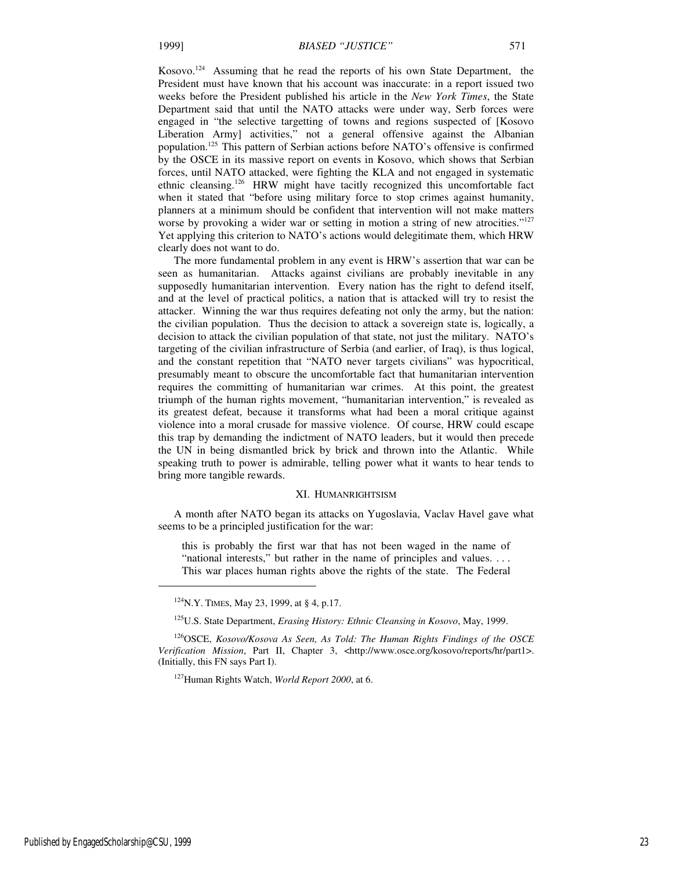Kosovo.<sup>124</sup> Assuming that he read the reports of his own State Department, the President must have known that his account was inaccurate: in a report issued two weeks before the President published his article in the *New York Times*, the State Department said that until the NATO attacks were under way, Serb forces were engaged in "the selective targetting of towns and regions suspected of [Kosovo Liberation Army] activities," not a general offensive against the Albanian population.<sup>125</sup> This pattern of Serbian actions before NATO's offensive is confirmed by the OSCE in its massive report on events in Kosovo, which shows that Serbian forces, until NATO attacked, were fighting the KLA and not engaged in systematic ethnic cleansing.<sup>126</sup> HRW might have tacitly recognized this uncomfortable fact when it stated that "before using military force to stop crimes against humanity, planners at a minimum should be confident that intervention will not make matters worse by provoking a wider war or setting in motion a string of new atrocities."<sup>127</sup> Yet applying this criterion to NATO's actions would delegitimate them, which HRW clearly does not want to do.

The more fundamental problem in any event is HRW's assertion that war can be seen as humanitarian. Attacks against civilians are probably inevitable in any supposedly humanitarian intervention. Every nation has the right to defend itself, and at the level of practical politics, a nation that is attacked will try to resist the attacker. Winning the war thus requires defeating not only the army, but the nation: the civilian population. Thus the decision to attack a sovereign state is, logically, a decision to attack the civilian population of that state, not just the military. NATO's targeting of the civilian infrastructure of Serbia (and earlier, of Iraq), is thus logical, and the constant repetition that "NATO never targets civilians" was hypocritical, presumably meant to obscure the uncomfortable fact that humanitarian intervention requires the committing of humanitarian war crimes. At this point, the greatest triumph of the human rights movement, "humanitarian intervention," is revealed as its greatest defeat, because it transforms what had been a moral critique against violence into a moral crusade for massive violence. Of course, HRW could escape this trap by demanding the indictment of NATO leaders, but it would then precede the UN in being dismantled brick by brick and thrown into the Atlantic. While speaking truth to power is admirable, telling power what it wants to hear tends to bring more tangible rewards.

#### XI. HUMANRIGHTSISM

A month after NATO began its attacks on Yugoslavia, Vaclav Havel gave what seems to be a principled justification for the war:

this is probably the first war that has not been waged in the name of "national interests," but rather in the name of principles and values. . . . This war places human rights above the rights of the state. The Federal

<sup>124</sup>N.Y. TIMES, May 23, 1999, at § 4, p.17.

<sup>125</sup>U.S. State Department, *Erasing History: Ethnic Cleansing in Kosovo*, May, 1999.

<sup>126</sup>OSCE, *Kosovo/Kosova As Seen, As Told: The Human Rights Findings of the OSCE Verification Mission*, Part II, Chapter 3, <http://www.osce.org/kosovo/reports/hr/part1>. (Initially, this FN says Part I).

<sup>127</sup>Human Rights Watch, *World Report 2000*, at 6.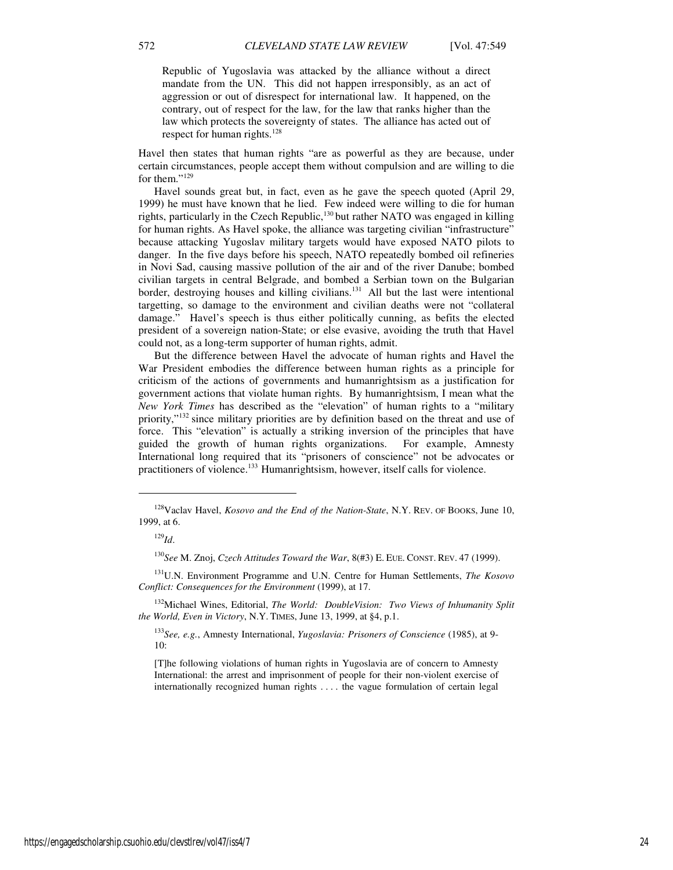Republic of Yugoslavia was attacked by the alliance without a direct mandate from the UN. This did not happen irresponsibly, as an act of aggression or out of disrespect for international law. It happened, on the contrary, out of respect for the law, for the law that ranks higher than the law which protects the sovereignty of states. The alliance has acted out of respect for human rights.<sup>128</sup>

Havel then states that human rights "are as powerful as they are because, under certain circumstances, people accept them without compulsion and are willing to die for them."<sup>129</sup>

Havel sounds great but, in fact, even as he gave the speech quoted (April 29, 1999) he must have known that he lied. Few indeed were willing to die for human rights, particularly in the Czech Republic,  $130$  but rather NATO was engaged in killing for human rights. As Havel spoke, the alliance was targeting civilian "infrastructure" because attacking Yugoslav military targets would have exposed NATO pilots to danger. In the five days before his speech, NATO repeatedly bombed oil refineries in Novi Sad, causing massive pollution of the air and of the river Danube; bombed civilian targets in central Belgrade, and bombed a Serbian town on the Bulgarian border, destroying houses and killing civilians.<sup>131</sup> All but the last were intentional targetting, so damage to the environment and civilian deaths were not "collateral damage." Havel's speech is thus either politically cunning, as befits the elected president of a sovereign nation-State; or else evasive, avoiding the truth that Havel could not, as a long-term supporter of human rights, admit.

But the difference between Havel the advocate of human rights and Havel the War President embodies the difference between human rights as a principle for criticism of the actions of governments and humanrightsism as a justification for government actions that violate human rights. By humanrightsism, I mean what the *New York Times* has described as the "elevation" of human rights to a "military priority,"<sup>132</sup> since military priorities are by definition based on the threat and use of force. This "elevation" is actually a striking inversion of the principles that have guided the growth of human rights organizations. For example, Amnesty International long required that its "prisoners of conscience" not be advocates or practitioners of violence.<sup>133</sup> Humanrightsism, however, itself calls for violence.

<sup>129</sup>*Id*.

 $\overline{a}$ 

<sup>130</sup>*See* M. Znoj, *Czech Attitudes Toward the War*, 8(#3) E. EUE. CONST. REV. 47 (1999).

<sup>131</sup>U.N. Environment Programme and U.N. Centre for Human Settlements, *The Kosovo Conflict: Consequences for the Environment* (1999), at 17.

<sup>132</sup>Michael Wines, Editorial, *The World: DoubleVision: Two Views of Inhumanity Split the World, Even in Victory*, N.Y. TIMES, June 13, 1999, at §4, p.1.

<sup>133</sup>*See, e.g.*, Amnesty International, *Yugoslavia: Prisoners of Conscience* (1985), at 9- 10:

[T]he following violations of human rights in Yugoslavia are of concern to Amnesty International: the arrest and imprisonment of people for their non-violent exercise of internationally recognized human rights . . . . the vague formulation of certain legal

<sup>128</sup>Vaclav Havel, *Kosovo and the End of the Nation-State*, N.Y. REV. OF BOOKS, June 10, 1999, at 6.